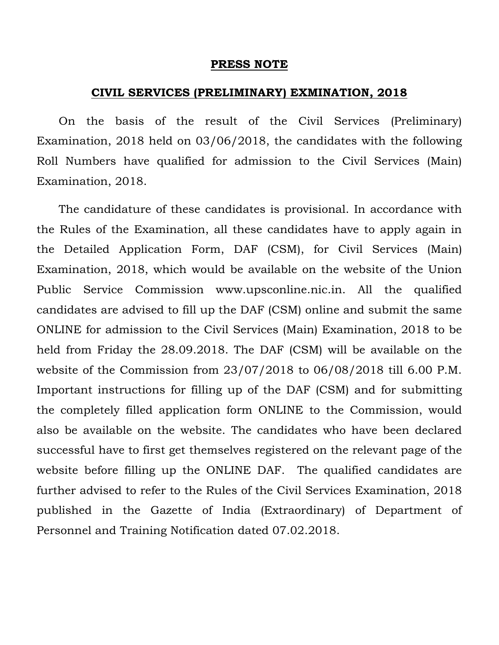### **PRESS NOTE**

### **CIVIL SERVICES (PRELIMINARY) EXMINATION, 2018**

 On the basis of the result of the Civil Services (Preliminary) Examination, 2018 held on 03/06/2018, the candidates with the following Roll Numbers have qualified for admission to the Civil Services (Main) Examination, 2018.

 The candidature of these candidates is provisional. In accordance with the Rules of the Examination, all these candidates have to apply again in the Detailed Application Form, DAF (CSM), for Civil Services (Main) Examination, 2018, which would be available on the website of the Union Public Service Commission www.upsconline.nic.in. All the qualified candidates are advised to fill up the DAF (CSM) online and submit the same ONLINE for admission to the Civil Services (Main) Examination, 2018 to be held from Friday the 28.09.2018. The DAF (CSM) will be available on the website of the Commission from 23/07/2018 to 06/08/2018 till 6.00 P.M. Important instructions for filling up of the DAF (CSM) and for submitting the completely filled application form ONLINE to the Commission, would also be available on the website. The candidates who have been declared successful have to first get themselves registered on the relevant page of the website before filling up the ONLINE DAF. The qualified candidates are further advised to refer to the Rules of the Civil Services Examination, 2018 published in the Gazette of India (Extraordinary) of Department of Personnel and Training Notification dated 07.02.2018.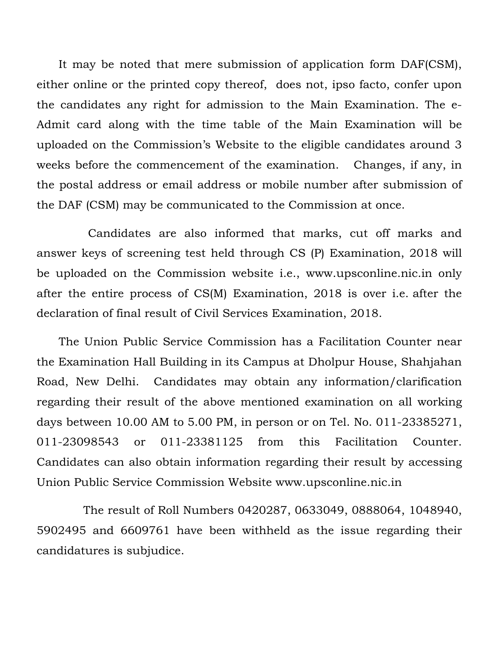It may be noted that mere submission of application form DAF(CSM), either online or the printed copy thereof, does not, ipso facto, confer upon the candidates any right for admission to the Main Examination. The e-Admit card along with the time table of the Main Examination will be uploaded on the Commission's Website to the eligible candidates around 3 weeks before the commencement of the examination. Changes, if any, in the postal address or email address or mobile number after submission of the DAF (CSM) may be communicated to the Commission at once.

 Candidates are also informed that marks, cut off marks and answer keys of screening test held through CS (P) Examination, 2018 will be uploaded on the Commission website i.e., www.upsconline.nic.in only after the entire process of CS(M) Examination, 2018 is over i.e. after the declaration of final result of Civil Services Examination, 2018.

 The Union Public Service Commission has a Facilitation Counter near the Examination Hall Building in its Campus at Dholpur House, Shahjahan Road, New Delhi. Candidates may obtain any information/clarification regarding their result of the above mentioned examination on all working days between 10.00 AM to 5.00 PM, in person or on Tel. No. 011-23385271, 011-23098543 or 011-23381125 from this Facilitation Counter. Candidates can also obtain information regarding their result by accessing Union Public Service Commission Website www.upsconline.nic.in

The result of Roll Numbers 0420287, 0633049, 0888064, 1048940, 5902495 and 6609761 have been withheld as the issue regarding their candidatures is subjudice.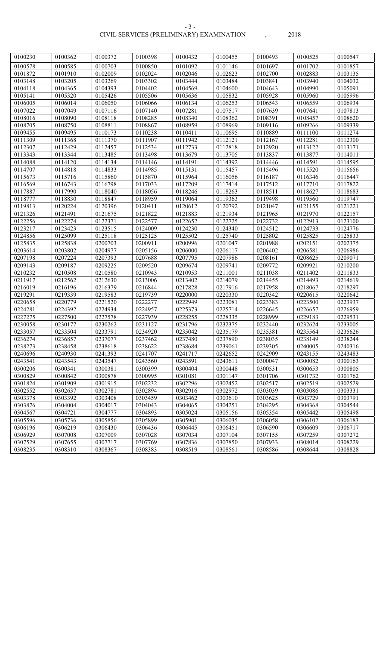| 0100230            | 0100362            | 0100372            | 0100398            | 0100432            | 0100455            | 0100493            | 0100525            | 0100547            |
|--------------------|--------------------|--------------------|--------------------|--------------------|--------------------|--------------------|--------------------|--------------------|
| 0100578            | 0100585            | 0100703            | 0100850            | 0101092            | 0101146            | 0101697            | 0101702            | 0101857            |
| 0101872            | 0101910            | 0102009            | 0102024            | 0102046            | 0102623            | 0102700            | 0102883            | 0103135            |
| 0103148            | 0103205            | 0103269            | 0103302            | 0103444            | 0103484            | 0103841            | 0103940            | 0104032            |
| 0104118            | 0104365            | 0104393            | 0104402            | 0104569            | 0104600            | 0104643            | 0104990            | 0105091            |
| 0105141            | 0105320            | 0105426            | 0105506            | 0105636            | 0105832            | 0105928            | 0105960            | 0105996            |
| 0106005            | 0106014            | 0106050            | 0106066            | 0106134            | 0106253            | 0106543            | 0106559            | 0106934            |
| 0107022            | 0107049            | 0107116            | 0107140            | 0107281            | 0107517            | 0107639            | 0107641            | 0107813            |
| 0108016            | 0108090            | 0108118            | 0108285            | 0108340            | 0108362            | 0108391            | 0108457            | 0108620            |
| 0108705            | 0108750            | 0108811            | 0108867            | 0108959            | 0108969            | 0109116            | 0109266            | 0109339            |
| 0109455            | 0109495            | 0110173            | 0110238            | 0110411            | 0110695            | 0110889            | 0111100            | 0111274            |
| 0111309            | 0111368            | 0111370            | 0111907            | 0111942            | 0112121            | 0112167            | 0112281            | 0112300            |
| 0112307            | 0112429            | 0112457            | 0112534            | 0112733            | 0112818            | 0112920            | 0113122            | 0113171            |
| 0113343            | 0113344            | 0113485            | 0113498            | 0113679            | 0113705            | 0113837            | 0113877            | 0114011            |
| 0114088            | 0114120            | 0114134            | 0114146            | 0114191            | 0114392            | 0114446            | 0114591            | 0114595            |
| 0114707            | 0114818            | 0114833            | 0114985            | 0115131            | 0115457            | 0115496            | 0115520            | 0115656            |
| 0115673            | 0115716            | 0115860            | 0115870            | 0115964            | 0116056            | 0116187            | 0116346            | 0116447            |
| 0116569            | 0116743            | 0116798            | 0117033            | 0117209            | 0117414            | 0117512            | 0117710            | 0117822            |
| 0117887            | 0117990            | 0118040            | 0118056            | 0118246            | 0118263            | 0118511            | 0118627            | 0118683            |
| 0118777            | 0118830            | 0118847            | 0118959            | 0119064            | 0119363            | 0119498            | 0119560            | 0119747            |
| 0119813            | 0120224            | 0120396            | 0120411            | 0120612            | 0120792            | 0121047            | 0121155            | 0121221            |
| 0121326            | 0121491            | 0121675            | 0121822            | 0121883            | 0121934            | 0121965            | 0121970            | 0122157            |
| 0122256            | 0122274            | 0122371            | 0122577            | 0122652            | 0122725            | 0122732            | 0122913            | 0123100            |
| 0123217            | 0123423            | 0123515            | 0124009            | 0124230            | 0124340            | 0124512            | 0124733            | 0124776            |
| 0124856            | 0125099            | 0125118            | 0125125            | 0125502            | 0125740            | 0125802            | 0125825            | 0125833            |
| 0125835            | 0125838            | 0200703            | 0200911            | 0200996            | 0201047            | 0201988            | 0202151            | 0202375            |
| 0203614            | 0203802            | 0204977            | 0205156            | 0206000            | 0206117            | 0206402            | 0206581            | 0206986            |
| 0207198            | 0207224            | 0207393            | 0207688            | 0207795            | 0207986            | 0208161            | 0208625            | 0209071            |
| 0209143            | 0209187            | 0209225            | 0209520            | 0209674            | 0209741            | 0209772            | 0209921            | 0210200            |
| 0210232            | 0210508            | 0210580            | 0210943            | 0210953            | 0211001            | 0211038            | 0211402            | 0211833            |
| 0211917            | 0212562            | 0212630            | 0213006            | 0213402            | 0214079            | 0214455            | 0214493            | 0214619            |
| 0216019            | 0216196            | 0216379            | 0216844            | 0217828            | 0217916            | 0217958            | 0218067            | 0218297            |
| 0219291            | 0219339            | 0219583            | 0219739            | 0220000            | 0220330            | 0220342            | 0220615            | 0220642            |
| 0220658            | 0220779            | 0221520            | 0222277            | 0222949            | 0223081            | 0223383            | 0223500            | 0223937            |
| 0224281            | 0224392            | 0224934            | 0224957            | 0225373            | 0225714            | 0226645            | 0226657            | 0226959            |
| 0227275            | 0227500            | 0227578            | 0227939            | 0228255            | 0228335            | 0228999            | 0229183            | 0229531            |
| 0230058            | 0230177            | 0230262            | 0231127            | 0231796            | 0232375            | 0232440            | 0232624            | 0233005            |
| 0233057            | 0233504            | 0233791            | 0234920            | 0235042            | 0235179            | 0235381            | 0235564            | 0235626            |
| 0236274            | 0236857            | 0237077            | 0237462            | 0237480            | 0237890            | 0238035            | 0238149            | 0238244            |
| 0238273            | 0238458            | 0238618            | 0238622            | 0238684            | 0239061            | 0239305            | 0240005            | 0240316            |
| 0240696            | 0240930            | 0241393            | 0241707            | 0241717            | 0242652            | 0242909            | 0243155            | 0243483            |
| 0243541            | 0243543            | 0243547            | 0243560            | 0243591            | 0243611            | 0300047            | 0300082            | 0300163            |
| 0300206            | 0300341            | 0300381            | 0300399            | 0300404            | 0300448            | 0300531            | 0300653            | 0300805            |
| 0300829            | 0300842            | 0300878            | 0300995            | 0301081            | 0301147            | 0301706            | 0301732            | 0301762            |
| 0301824            | 0301909            | 0301915            | 0302232            | 0302296            | 0302452            | 0302517            | 0302519            | 0302529            |
| 0302552            | 0302637            | 0302781            | 0302894            | 0302916            | 0302972            | 0303039            | 0303086            | 0303331            |
| 0303378            | 0303392            | 0303408            | 0303459            | 0303462            | 0303610            | 0303625            | 0303729            | 0303791            |
| 0303876            | 0304004            | 0304017            | 0304043            | 0304065            | 0304251            | 0304295            | 0304368            | 0304544            |
| 0304567            | 0304721            | 0304777            | 0304893            | 0305024            | 0305156            | 0305354            | 0305442            | 0305498            |
| 0305596            | 0305736            | 0305856            | 0305899            | 0305901            | 0306035            | 0306058            | 0306102            | 0306183            |
| 0306196<br>0306929 | 0306219<br>0307008 | 0306430<br>0307009 | 0306436<br>0307028 | 0306445<br>0307034 | 0306451<br>0307104 | 0306590<br>0307155 | 0306609<br>0307259 | 0306717<br>0307272 |
| 0307529            | 0307655            | 0307717            | 0307769            | 0307836            | 0307850            | 0307933            | 0308014            | 0308229            |
|                    |                    |                    |                    |                    |                    |                    |                    |                    |
| 0308235            | 0308310            | 0308367            | 0308383            | 0308519            | 0308561            | 0308586            | 0308644            | 0308828            |

- 3 -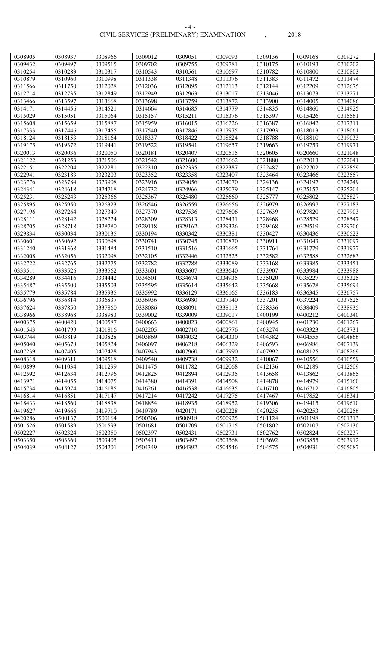#### CIVIL SERVICES (PRELIMINARY) EXAMINATION , 2018 - 4 -

| 0308905 | 0308937 | 0308966 | 0309012 | 0309051 | 0309093 | 0309136 | 0309168 | 0309272 |
|---------|---------|---------|---------|---------|---------|---------|---------|---------|
| 0309432 | 0309497 | 0309515 | 0309702 | 0309755 | 0309781 | 0310175 | 0310193 | 0310202 |
| 0310254 | 0310283 | 0310317 | 0310543 | 0310561 | 0310697 | 0310782 | 0310800 | 0310803 |
| 0310879 | 0310960 | 0310998 | 0311338 | 0311348 | 0311376 | 0311383 | 0311472 | 0311474 |
| 0311566 | 0311750 | 0312028 | 0312036 | 0312095 | 0312113 | 0312144 | 0312209 | 0312675 |
| 0312714 | 0312735 | 0312849 | 0312949 | 0312963 | 0313017 | 0313046 | 0313073 | 0313271 |
| 0313466 | 0313597 | 0313668 | 0313698 | 0313759 | 0313872 | 0313900 | 0314005 | 0314086 |
| 0314171 | 0314456 | 0314521 | 0314664 | 0314685 | 0314779 | 0314835 | 0314860 | 0314925 |
| 0315029 | 0315051 | 0315064 | 0315157 | 0315211 | 0315376 | 0315397 | 0315426 | 0315561 |
| 0315608 | 0315659 | 0315887 | 0315959 | 0316015 | 0316226 | 0316387 | 0316842 | 0317311 |
| 0317333 | 0317446 | 0317455 | 0317540 | 0317846 | 0317975 | 0317993 | 0318013 | 0318061 |
| 0318124 | 0318153 | 0318164 | 0318337 | 0318422 | 0318524 | 0318788 | 0318810 | 0319033 |
| 0319175 | 0319372 | 0319441 | 0319522 | 0319541 | 0319657 | 0319663 | 0319753 | 0319971 |
| 0320013 | 0320036 | 0320050 | 0320181 | 0320407 | 0320515 | 0320605 | 0320660 | 0321048 |
| 0321122 | 0321253 | 0321506 | 0321542 | 0321600 | 0321662 | 0321880 | 0322013 | 0322041 |
| 0322151 | 0322204 | 0322281 | 0322310 | 0322335 | 0322387 | 0322487 | 0322702 | 0322859 |
| 0322941 | 0323183 | 0323203 | 0323352 | 0323358 | 0323407 | 0323464 | 0323466 | 0323557 |
| 0323776 | 0323784 | 0323908 | 0323916 | 0324056 | 0324070 | 0324136 | 0324197 | 0324249 |
| 0324341 | 0324618 | 0324718 | 0324732 | 0324966 | 0325079 | 0325147 | 0325157 | 0325204 |
| 0325231 | 0325243 | 0325366 | 0325367 | 0325480 | 0325660 | 0325777 | 0325802 | 0325827 |
| 0325895 | 0325950 | 0326323 | 0326546 | 0326559 | 0326656 | 0326979 | 0326997 | 0327183 |
| 0327196 | 0327264 | 0327349 | 0327370 | 0327536 | 0327606 | 0327639 | 0327820 | 0327903 |
| 0328111 | 0328142 | 0328224 | 0328309 | 0328313 | 0328431 | 0328468 | 0328529 | 0328547 |
| 0328705 | 0328718 | 0328780 | 0329118 | 0329162 | 0329326 | 0329468 | 0329519 | 0329706 |
| 0329834 | 0330034 | 0330135 | 0330194 | 0330342 | 0330381 | 0330427 | 0330436 | 0330523 |
| 0330601 | 0330692 | 0330698 | 0330741 | 0330745 | 0330870 | 0330911 | 0331043 | 0331097 |
| 0331240 | 0331368 | 0331484 | 0331510 | 0331516 | 0331665 | 0331764 | 0331779 | 0331977 |
| 0332008 | 0332056 | 0332098 | 0332105 | 0332446 | 0332525 | 0332582 | 0332588 | 0332683 |
| 0332722 | 0332765 | 0332775 | 0332782 | 0332788 | 0333089 | 0333168 | 0333385 | 0333451 |
| 0333511 | 0333526 | 0333562 | 0333601 | 0333607 | 0333640 | 0333907 | 0333984 | 0333988 |
| 0334289 | 0334416 | 0334442 | 0334501 | 0334674 | 0334935 | 0335020 | 0335227 | 0335325 |
| 0335487 | 0335500 | 0335503 | 0335595 | 0335614 | 0335642 | 0335668 | 0335678 | 0335694 |
| 0335779 | 0335784 | 0335935 | 0335992 | 0336129 | 0336165 | 0336183 | 0336345 | 0336757 |
| 0336796 | 0336814 | 0336837 | 0336936 | 0336980 | 0337140 | 0337201 | 0337224 | 0337525 |
| 0337624 | 0337850 | 0337860 | 0338086 | 0338091 | 0338113 | 0338336 | 0338409 | 0338935 |
| 0338966 | 0338968 | 0338983 | 0339002 | 0339009 | 0339017 | 0400199 | 0400212 | 0400340 |
| 0400375 | 0400420 | 0400587 | 0400663 | 0400823 | 0400861 | 0400945 | 0401230 | 0401267 |
| 0401543 | 0401799 | 0401816 | 0402205 | 0402710 | 0402776 | 0403274 | 0403323 | 0403731 |
| 0403744 | 0403819 | 0403828 | 0403869 | 0404032 | 0404330 | 0404382 | 0404555 | 0404866 |
| 0405040 | 0405678 | 0405824 | 0406097 | 0406218 | 0406329 | 0406593 | 0406986 | 0407139 |
| 0407239 | 0407405 | 0407428 | 0407943 | 0407960 | 0407990 | 0407992 | 0408125 | 0408269 |
| 0408318 | 0409311 | 0409518 | 0409540 | 0409738 | 0409932 | 0410067 | 0410556 | 0410559 |
| 0410899 | 0411034 | 0411299 | 0411475 | 0411782 | 0412068 | 0412136 | 0412189 | 0412509 |
| 0412592 | 0412634 | 0412796 | 0412825 | 0412894 | 0412935 | 0413658 | 0413862 | 0413865 |
| 0413971 | 0414055 | 0414075 | 0414380 | 0414391 | 0414508 | 0414878 | 0414979 | 0415160 |
| 0415734 | 0415974 | 0416185 | 0416261 | 0416538 | 0416635 | 0416710 | 0416712 | 0416805 |
| 0416814 | 0416851 | 0417147 | 0417214 | 0417242 | 0417275 | 0417467 | 0417852 | 0418341 |
| 0418433 | 0418560 | 0418838 | 0418854 | 0418935 | 0418952 | 0419306 | 0419415 | 0419610 |
| 0419627 | 0419666 | 0419710 | 0419789 | 0420171 | 0420228 | 0420235 | 0420253 | 0420256 |
| 0420286 | 0500137 | 0500164 | 0500306 | 0500918 | 0500925 | 0501124 | 0501198 | 0501313 |
| 0501526 | 0501589 | 0501593 | 0501681 | 0501709 | 0501715 | 0501802 | 0502107 | 0502130 |
| 0502227 | 0502324 | 0502350 | 0502397 | 0502431 | 0502731 | 0502762 | 0502824 | 0503237 |
| 0503350 | 0503360 | 0503405 | 0503411 | 0503497 | 0503568 | 0503692 | 0503855 | 0503912 |
| 0504039 | 0504127 | 0504201 | 0504349 | 0504392 | 0504546 | 0504575 | 0504931 | 0505087 |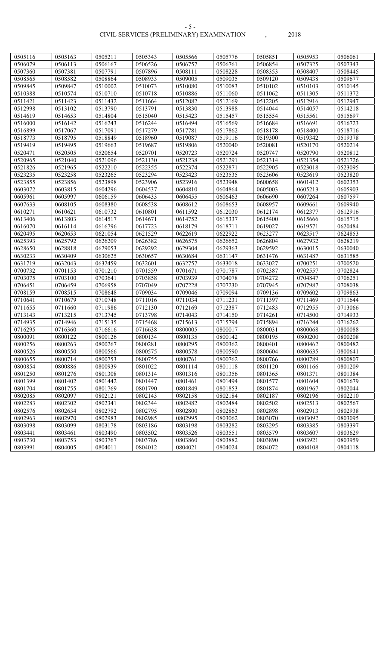#### CIVIL SERVICES (PRELIMINARY) EXAMINATION , 2018 - 5 -

| 0505116 | 0505163 | 0505211 | 0505343 | 0505566 | 0505776 | 0505851 | 0505953 | 0506061 |
|---------|---------|---------|---------|---------|---------|---------|---------|---------|
| 0506079 | 0506113 | 0506167 | 0506526 | 0506757 | 0506761 | 0506854 | 0507325 | 0507343 |
| 0507360 | 0507381 | 0507791 | 0507896 | 0508111 | 0508228 | 0508353 | 0508407 | 0508445 |
| 0508565 | 0508582 | 0508864 | 0508933 | 0509005 | 0509035 | 0509120 | 0509438 | 0509677 |
| 0509845 | 0509847 | 0510002 | 0510073 | 0510080 | 0510083 | 0510102 | 0510103 | 0510145 |
| 0510388 | 0510574 | 0510710 | 0510718 | 0510886 | 0511060 | 0511062 | 0511305 | 0511372 |
| 0511421 | 0511423 | 0511432 | 0511664 | 0512082 | 0512169 | 0512205 | 0512916 | 0512947 |
| 0512998 | 0513102 | 0513790 | 0513791 | 0513830 | 0513988 | 0514044 | 0514057 | 0514218 |
| 0514619 | 0514653 | 0514804 | 0515040 | 0515423 | 0515457 | 0515554 | 0515561 | 0515697 |
| 0516000 | 0516142 | 0516243 | 0516244 | 0516494 | 0516569 | 0516684 | 0516691 | 0516723 |
| 0516899 | 0517067 | 0517091 | 0517279 | 0517781 | 0517862 | 0518178 | 0518400 | 0518716 |
| 0518773 | 0518795 | 0518849 | 0518960 | 0519087 | 0519116 | 0519300 | 0519342 | 0519378 |
| 0519419 | 0519495 | 0519663 | 0519687 | 0519806 | 0520040 | 0520081 | 0520170 | 0520214 |
| 0520471 | 0520505 | 0520654 | 0520701 | 0520723 | 0520724 | 0520747 | 0520790 | 0520812 |
| 0520965 | 0521040 | 0521096 | 0521130 | 0521238 | 0521291 | 0521314 | 0521354 | 0521726 |
| 0521826 | 0521965 | 0522210 | 0522355 | 0522374 | 0522871 | 0522905 | 0523018 | 0523095 |
| 0523235 | 0523258 | 0523265 | 0523294 | 0523423 | 0523535 | 0523606 | 0523619 | 0523820 |
| 0523855 | 0523856 | 0523898 | 0523906 | 0523916 | 0523948 | 0600658 | 0601412 | 0602353 |
| 0603072 | 0603815 | 0604296 | 0604537 | 0604810 | 0604864 | 0605003 | 0605213 | 0605903 |
| 0605961 | 0605997 | 0606159 | 0606433 | 0606455 | 0606463 | 0606690 | 0607264 | 0607597 |
| 0607633 | 0608105 | 0608380 | 0608538 | 0608612 | 0608653 | 0608957 | 0609661 | 0609940 |
| 0610271 | 0610621 | 0610732 | 0610801 | 0611592 | 0612030 | 0612174 | 0612377 | 0612916 |
| 0613406 | 0613803 | 0614517 | 0614671 | 0614752 | 0615337 | 0615400 | 0615666 | 0615715 |
| 0616070 | 0616114 | 0616796 | 0617723 | 0618179 | 0618711 | 0619027 | 0619571 | 0620484 |
| 0620495 | 0620653 | 0621054 | 0621529 | 0622619 | 0622922 | 0623277 | 0623517 | 0624853 |
| 0625393 | 0625792 | 0626209 | 0626382 | 0626575 | 0626652 | 0626804 | 0627932 | 0628219 |
| 0628650 | 0628818 | 0629053 | 0629292 | 0629304 | 0629363 | 0629592 | 0630015 | 0630040 |
| 0630233 | 0630409 | 0630625 | 0630657 | 0630684 | 0631147 | 0631476 | 0631487 | 0631585 |
| 0631719 | 0632043 | 0632459 | 0632601 | 0632757 | 0633018 | 0633027 | 0700251 | 0700520 |
| 0700732 | 0701153 | 0701210 | 0701559 | 0701671 | 0701787 | 0702387 | 0702557 | 0702824 |
| 0703075 | 0703100 | 0703641 | 0703858 | 0703939 | 0704078 | 0704272 | 0704847 | 0706251 |
| 0706451 | 0706459 | 0706958 | 0707049 | 0707228 | 0707230 | 0707945 | 0707987 | 0708038 |
| 0708159 | 0708515 | 0708648 | 0709034 | 0709046 | 0709094 | 0709136 | 0709602 | 0709863 |
| 0710641 | 0710679 | 0710748 | 0711016 | 0711034 | 0711231 | 0711397 | 0711469 | 0711644 |
| 0711655 | 0711660 | 0711986 | 0712130 | 0712169 | 0712387 | 0712483 | 0712955 | 0713066 |
| 0713143 | 0713215 | 0713745 | 0713798 | 0714043 | 0714150 | 0714261 | 0714500 | 0714933 |
| 0714935 | 0714946 | 0715135 | 0715468 | 0715613 | 0715794 | 0715894 | 0716244 | 0716262 |
| 0716295 | 0716360 | 0716616 | 0716638 | 0800005 | 0800017 | 0800031 | 0800068 | 0800088 |
| 0800091 | 0800122 | 0800126 | 0800134 | 0800135 | 0800142 | 0800195 | 0800200 | 0800208 |
| 0800256 | 0800263 | 0800267 | 0800281 | 0800295 | 0800362 | 0800401 | 0800462 | 0800482 |
| 0800526 | 0800550 | 0800566 | 0800575 | 0800578 | 0800590 | 0800604 | 0800635 | 0800641 |
| 0800655 | 0800714 | 0800753 | 0800755 | 0800761 | 0800762 | 0800766 | 0800789 | 0800807 |
| 0800854 | 0800886 | 0800939 | 0801022 | 0801114 | 0801118 | 0801120 | 0801166 | 0801209 |
| 0801250 | 0801276 | 0801308 | 0801314 | 0801316 | 0801356 | 0801365 | 0801371 | 0801384 |
| 0801399 | 0801402 | 0801442 | 0801447 | 0801461 | 0801494 | 0801577 | 0801604 | 0801679 |
| 0801704 | 0801755 | 0801769 | 0801790 | 0801849 | 0801853 | 0801874 | 0801967 | 0802044 |
| 0802085 | 0802097 | 0802121 | 0802143 | 0802158 | 0802184 | 0802187 | 0802196 | 0802210 |
| 0802283 | 0802302 | 0802341 | 0802344 | 0802482 | 0802484 | 0802502 | 0802513 | 0802567 |
| 0802576 | 0802634 | 0802792 | 0802795 | 0802800 | 0802863 | 0802898 | 0802913 | 0802938 |
| 0802963 | 0802970 | 0802983 | 0802985 | 0802995 | 0803062 | 0803070 | 0803092 | 0803095 |
| 0803098 | 0803099 | 0803178 | 0803186 | 0803198 | 0803282 | 0803295 | 0803385 | 0803397 |
| 0803441 | 0803461 | 0803490 | 0803502 | 0803526 | 0803551 | 0803579 | 0803607 | 0803629 |
| 0803730 | 0803753 | 0803767 | 0803786 | 0803860 | 0803882 | 0803890 | 0803921 | 0803959 |
| 0803991 | 0804005 | 0804011 | 0804012 | 0804021 | 0804024 | 0804072 | 0804108 | 0804118 |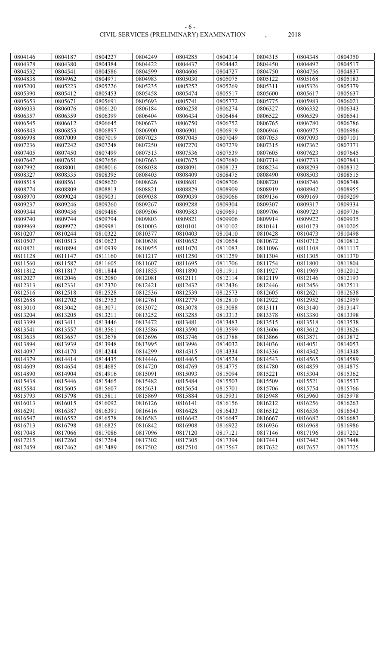#### CIVIL SERVICES (PRELIMINARY) EXAMINATION , 2018 - 6 -

| 0804146 | 0804187 | 0804227 | 0804249 | 0804285 | 0804314 | 0804315 | 0804348 | 0804350 |
|---------|---------|---------|---------|---------|---------|---------|---------|---------|
| 0804378 | 0804380 | 0804384 | 0804422 | 0804437 | 0804442 | 0804450 | 0804492 | 0804517 |
| 0804532 | 0804541 | 0804586 | 0804599 | 0804606 | 0804727 | 0804750 | 0804756 | 0804837 |
| 0804838 | 0804962 | 0804971 | 0804983 | 0805030 | 0805075 | 0805122 | 0805168 | 0805183 |
| 0805200 | 0805223 | 0805226 | 0805235 | 0805252 | 0805269 | 0805311 | 0805326 | 0805379 |
| 0805390 | 0805412 | 0805453 | 0805458 | 0805474 | 0805517 | 0805600 | 0805617 | 0805637 |
| 0805653 | 0805671 | 0805691 | 0805693 | 0805741 | 0805772 | 0805775 | 0805983 | 0806021 |
| 0806033 | 0806076 | 0806120 | 0806184 | 0806258 | 0806274 | 0806327 | 0806332 | 0806343 |
| 0806357 | 0806359 | 0806399 | 0806404 | 0806434 | 0806484 | 0806522 | 0806529 | 0806541 |
| 0806545 | 0806612 | 0806645 | 0806673 | 0806750 | 0806752 | 0806765 | 0806780 | 0806786 |
| 0806843 | 0806853 | 0806897 | 0806900 | 0806901 | 0806919 | 0806946 | 0806975 | 0806986 |
| 0806998 | 0807009 | 0807019 | 0807023 | 0807045 | 0807049 | 0807053 | 0807093 | 0807101 |
| 0807236 | 0807242 | 0807248 | 0807250 | 0807270 | 0807279 | 0807315 | 0807362 | 0807371 |
| 0807405 | 0807450 | 0807499 | 0807513 | 0807536 | 0807539 | 0807605 | 0807623 | 0807645 |
| 0807647 | 0807651 | 0807656 | 0807663 | 0807675 | 0807680 | 0807714 | 0807733 | 0807841 |
| 0807992 | 0808001 | 0808016 | 0808038 | 0808091 | 0808123 | 0808234 | 0808293 | 0808312 |
| 0808327 | 0808335 | 0808395 | 0808403 | 0808409 | 0808475 | 0808490 | 0808503 | 0808515 |
| 0808518 |         | 0808620 |         |         |         | 0808720 |         | 0808748 |
|         | 0808561 |         | 0808626 | 0808681 | 0808706 |         | 0808746 |         |
| 0808774 | 0808809 | 0808813 | 0808821 | 0808829 | 0808909 | 0808919 | 0808942 | 0808955 |
| 0808970 | 0809024 | 0809031 | 0809038 | 0809039 | 0809066 | 0809136 | 0809169 | 0809209 |
| 0809237 | 0809246 | 0809260 | 0809267 | 0809288 | 0809304 | 0809307 | 0809317 | 0809334 |
| 0809344 | 0809436 | 0809486 | 0809506 | 0809583 | 0809691 | 0809706 | 0809723 | 0809736 |
| 0809740 | 0809744 | 0809794 | 0809803 | 0809821 | 0809906 | 0809914 | 0809922 | 0809935 |
| 0809969 | 0809972 | 0809981 | 0810003 | 0810101 | 0810102 | 0810141 | 0810173 | 0810205 |
| 0810207 | 0810244 | 0810322 | 0810377 | 0810403 | 0810410 | 0810428 | 0810473 | 0810498 |
| 0810507 | 0810513 | 0810623 | 0810638 | 0810652 | 0810654 | 0810672 | 0810712 | 0810812 |
| 0810821 | 0810894 | 0810939 | 0810955 | 0811070 | 0811083 | 0811096 | 0811108 | 0811117 |
| 0811128 | 0811147 | 0811160 | 0811217 | 0811250 | 0811259 | 0811304 | 0811305 | 0811370 |
| 0811560 | 0811587 | 0811605 | 0811607 | 0811695 | 0811706 | 0811754 | 0811800 | 0811804 |
| 0811812 | 0811817 | 0811844 | 0811855 | 0811890 | 0811911 | 0811927 | 0811969 | 0812012 |
| 0812027 | 0812046 | 0812080 | 0812081 | 0812111 | 0812114 | 0812119 | 0812146 | 0812193 |
| 0812313 | 0812331 | 0812370 | 0812421 | 0812432 | 0812436 | 0812446 | 0812456 | 0812511 |
| 0812516 | 0812518 | 0812528 | 0812536 | 0812539 | 0812573 | 0812605 | 0812621 | 0812638 |
| 0812688 | 0812702 | 0812753 | 0812761 | 0812779 | 0812810 | 0812922 | 0812952 | 0812959 |
| 0813010 | 0813042 | 0813071 | 0813072 | 0813078 | 0813088 | 0813111 | 0813140 | 0813147 |
| 0813204 | 0813205 | 0813211 | 0813252 | 0813285 | 0813313 | 0813378 | 0813380 | 0813398 |
| 0813399 | 0813411 | 0813446 | 0813472 | 0813481 | 0813483 | 0813515 | 0813518 | 0813538 |
| 0813541 | 0813557 | 0813561 | 0813586 | 0813590 | 0813599 | 0813606 | 0813612 | 0813626 |
| 0813635 | 0813657 | 0813678 | 0813696 | 0813746 | 0813788 | 0813866 | 0813871 | 0813872 |
| 0813894 | 0813939 | 0813948 | 0813995 | 0813996 | 0814032 | 0814036 | 0814051 | 0814053 |
| 0814097 | 0814170 | 0814244 | 0814299 | 0814315 | 0814334 | 0814336 | 0814342 | 0814348 |
| 0814379 | 0814414 | 0814435 | 0814446 | 0814465 | 0814524 | 0814543 | 0814565 | 0814589 |
| 0814609 | 0814654 | 0814685 | 0814720 | 0814769 | 0814775 | 0814780 | 0814859 | 0814875 |
| 0814890 | 0814904 | 0814916 | 0815091 | 0815093 | 0815094 | 0815221 | 0815304 | 0815362 |
| 0815438 | 0815446 | 0815465 | 0815482 | 0815484 | 0815503 | 0815509 | 0815521 | 0815537 |
| 0815584 | 0815605 | 0815607 | 0815631 | 0815654 | 0815701 | 0815706 | 0815754 | 0815766 |
| 0815793 | 0815798 | 0815811 | 0815869 | 0815884 | 0815931 | 0815948 | 0815960 | 0815978 |
| 0816013 | 0816015 | 0816092 | 0816126 | 0816141 | 0816156 | 0816212 | 0816256 | 0816263 |
| 0816291 | 0816387 | 0816391 | 0816416 | 0816428 | 0816433 | 0816512 | 0816536 | 0816543 |
| 0816547 | 0816552 | 0816578 | 0816583 | 0816642 | 0816647 | 0816667 | 0816682 | 0816683 |
| 0816713 | 0816798 | 0816825 | 0816842 | 0816908 | 0816922 | 0816936 | 0816968 | 0816986 |
| 0817048 | 0817066 | 0817086 | 0817096 | 0817120 | 0817121 | 0817146 | 0817196 | 0817202 |
| 0817215 | 0817260 | 0817264 | 0817302 | 0817305 | 0817394 | 0817441 | 0817442 | 0817448 |
| 0817459 | 0817462 | 0817489 | 0817502 | 0817510 | 0817567 | 0817632 | 0817657 | 0817725 |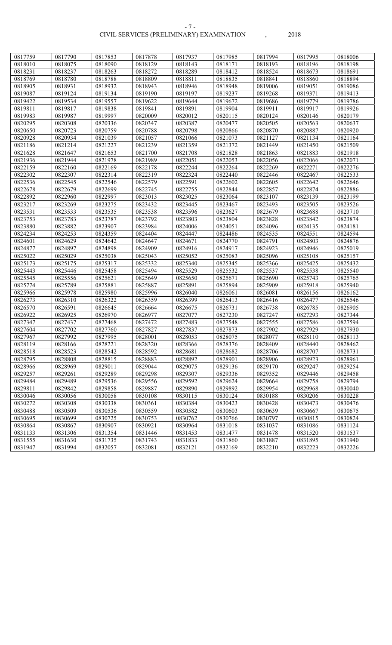#### CIVIL SERVICES (PRELIMINARY) EXAMINATION , 2018 - 7 -

| 0817759            | 0817790 | 0817853 | 0817878 | 0817937 | 0817985 | 0817994            | 0817995 | 0818006 |
|--------------------|---------|---------|---------|---------|---------|--------------------|---------|---------|
| 0818010            | 0818075 | 0818090 | 0818129 | 0818143 | 0818171 | 0818193            | 0818196 | 0818198 |
| 0818231            | 0818237 | 0818263 | 0818272 | 0818289 | 0818412 | 0818524            | 0818673 | 0818691 |
| 0818769            | 0818780 | 0818788 | 0818809 | 0818811 | 0818835 | 0818841            | 0818860 | 0818894 |
| 0818905            | 0818931 | 0818932 | 0818943 | 0818946 | 0818948 | 0819006            | 0819051 | 0819086 |
| 0819087            | 0819124 | 0819134 | 0819190 | 0819197 | 0819237 | 0819268            | 0819371 | 0819413 |
| 0819422            | 0819534 | 0819557 | 0819622 | 0819644 | 0819672 | 0819686            | 0819779 | 0819786 |
| 0819811            | 0819817 | 0819838 | 0819841 | 0819891 | 0819904 | 0819911            | 0819917 | 0819926 |
| 0819983            | 0819987 | 0819997 | 0820009 | 0820012 | 0820115 | 0820124            | 0820146 | 0820179 |
| 0820295            | 0820308 | 0820336 | 0820347 | 0820387 | 0820477 | 0820505            | 0820563 | 0820637 |
| 0820650            | 0820723 | 0820759 | 0820788 | 0820798 | 0820866 | 0820870            | 0820887 | 0820920 |
|                    |         |         |         |         |         |                    |         |         |
| 0820928            | 0820934 | 0821039 | 0821057 | 0821066 | 0821073 | 0821127<br>0821449 | 0821134 | 0821164 |
| 0821186<br>0821628 | 0821214 | 0821227 | 0821239 | 0821359 | 0821372 |                    | 0821450 | 0821509 |
|                    | 0821647 | 0821653 | 0821700 | 0821708 | 0821828 | 0821863            | 0821883 | 0821918 |
| 0821936            | 0821944 | 0821978 | 0821989 | 0822051 | 0822053 | 0822056            | 0822066 | 0822071 |
| 0822159            | 0822160 | 0822169 | 0822178 | 0822244 | 0822264 | 0822269            | 0822271 | 0822276 |
| 0822302            | 0822307 | 0822314 | 0822319 | 0822324 | 0822440 | 0822446            | 0822467 | 0822533 |
| 0822536            | 0822545 | 0822546 | 0822579 | 0822591 | 0822602 | 0822605            | 0822642 | 0822646 |
| 0822678            | 0822679 | 0822699 | 0822745 | 0822755 | 0822844 | 0822857            | 0822874 | 0822886 |
| 0822892            | 0822960 | 0822997 | 0823013 | 0823025 | 0823064 | 0823107            | 0823139 | 0823199 |
| 0823217            | 0823269 | 0823275 | 0823432 | 0823445 | 0823467 | 0823493            | 0823505 | 0823526 |
| 0823531            | 0823533 | 0823535 | 0823538 | 0823596 | 0823627 | 0823679            | 0823688 | 0823710 |
| 0823753            | 0823783 | 0823787 | 0823792 | 0823803 | 0823804 | 0823828            | 0823842 | 0823874 |
| 0823880            | 0823882 | 0823907 | 0823984 | 0824006 | 0824051 | 0824096            | 0824135 | 0824181 |
| 0824234            | 0824253 | 0824359 | 0824404 | 0824447 | 0824486 | 0824535            | 0824551 | 0824594 |
| 0824601            | 0824629 | 0824642 | 0824647 | 0824671 | 0824770 | 0824791            | 0824803 | 0824876 |
| 0824877            | 0824897 | 0824898 | 0824909 | 0824916 | 0824917 | 0824923            | 0824946 | 0825019 |
| 0825022            | 0825029 | 0825038 | 0825043 | 0825052 | 0825083 | 0825096            | 0825108 | 0825157 |
| 0825173            | 0825175 | 0825317 | 0825332 | 0825340 | 0825345 | 0825366            | 0825425 | 0825432 |
| 0825443            | 0825446 | 0825458 | 0825494 | 0825529 | 0825532 | 0825537            | 0825538 | 0825540 |
| 0825545            | 0825556 | 0825621 | 0825649 | 0825650 | 0825671 | 0825690            | 0825743 | 0825765 |
| 0825774            | 0825789 | 0825881 | 0825887 | 0825891 | 0825894 | 0825909            | 0825918 | 0825940 |
| 0825966            | 0825978 | 0825980 | 0825996 | 0826040 | 0826061 | 0826081            | 0826156 | 0826162 |
| 0826273            | 0826310 | 0826322 | 0826359 | 0826399 | 0826413 | 0826416            | 0826477 | 0826546 |
| 0826570            | 0826591 | 0826645 | 0826664 | 0826675 | 0826731 | 0826738            | 0826785 | 0826905 |
| 0826922            | 0826925 | 0826970 | 0826977 | 0827077 | 0827230 | 0827247            | 0827293 | 0827344 |
| 0827347            | 0827437 | 0827468 | 0827472 | 0827483 | 0827548 | 0827555            | 0827586 | 0827594 |
| 0827604            | 0827702 | 0827760 | 0827827 | 0827837 | 0827873 | 0827902            | 0827929 | 0827930 |
| 0827967            | 0827992 | 0827995 | 0828001 | 0828053 | 0828075 | 0828077            | 0828110 | 0828113 |
| 0828119            | 0828166 | 0828221 | 0828320 | 0828366 | 0828376 | 0828409            | 0828440 | 0828462 |
| 0828518            | 0828523 | 0828542 | 0828592 | 0828681 | 0828682 | 0828706            | 0828707 | 0828731 |
| 0828795            | 0828808 | 0828815 | 0828883 | 0828892 | 0828901 | 0828906            | 0828923 | 0828961 |
| 0828966            | 0828969 | 0829011 | 0829044 | 0829075 | 0829136 | 0829170            | 0829247 | 0829254 |
| 0829257            | 0829261 | 0829289 | 0829298 | 0829307 | 0829336 | 0829352            | 0829446 | 0829458 |
| 0829484            | 0829489 | 0829536 | 0829556 | 0829592 | 0829624 | 0829664            | 0829758 | 0829794 |
| 0829811            | 0829842 | 0829858 | 0829887 | 0829890 | 0829892 | 0829954            | 0829968 | 0830040 |
| 0830046            | 0830056 | 0830058 | 0830108 | 0830115 | 0830124 | 0830188            | 0830206 | 0830228 |
| 0830272            | 0830308 | 0830338 | 0830361 | 0830384 | 0830423 | 0830428            | 0830473 | 0830476 |
| 0830488            | 0830509 | 0830536 | 0830559 | 0830582 | 0830603 | 0830639            | 0830667 | 0830675 |
| 0830695            | 0830699 | 0830725 | 0830753 | 0830762 | 0830766 | 0830797            | 0830815 | 0830824 |
| 0830864            | 0830867 | 0830907 | 0830921 | 0830964 | 0831018 | 0831037            | 0831086 | 0831124 |
| 0831133            | 0831306 | 0831354 | 0831446 | 0831453 | 0831477 | 0831478            | 0831520 | 0831537 |
| 0831555            | 0831630 | 0831735 | 0831743 | 0831833 | 0831860 | 0831887            | 0831895 | 0831940 |
| 0831947            | 0831994 | 0832057 | 0832081 | 0832121 | 0832169 | 0832210            | 0832223 | 0832226 |
|                    |         |         |         |         |         |                    |         |         |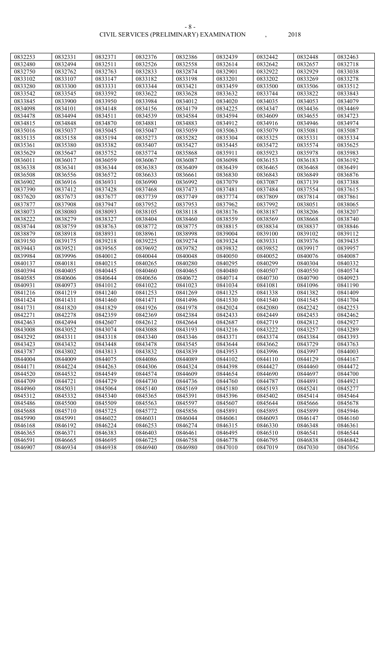#### CIVIL SERVICES (PRELIMINARY) EXAMINATION , 2018 - 8 -

| 0832253 | 0832331 | 0832371 | 0832376 | 0832386 | 0832439 | 0832442 | 0832448 | 0832463 |
|---------|---------|---------|---------|---------|---------|---------|---------|---------|
| 0832480 | 0832494 | 0832511 | 0832526 | 0832558 | 0832614 | 0832642 | 0832657 | 0832718 |
| 0832750 | 0832762 | 0832763 | 0832833 | 0832874 | 0832901 | 0832922 | 0832929 | 0833038 |
| 0833102 | 0833107 | 0833147 | 0833182 | 0833198 | 0833201 | 0833202 | 0833269 | 0833278 |
| 0833280 | 0833300 | 0833331 | 0833344 | 0833421 | 0833459 | 0833500 | 0833506 | 0833512 |
| 0833542 | 0833545 | 0833592 | 0833622 | 0833628 | 0833632 | 0833744 | 0833822 | 0833843 |
| 0833845 | 0833900 | 0833950 | 0833984 | 0834012 | 0834020 | 0834035 | 0834053 | 0834079 |
| 0834098 | 0834101 | 0834148 | 0834156 | 0834179 | 0834225 | 0834347 | 0834436 | 0834469 |
| 0834478 | 0834494 | 0834511 | 0834539 | 0834584 | 0834594 | 0834609 | 0834655 | 0834723 |
| 0834815 | 0834848 | 0834870 | 0834881 | 0834883 | 0834912 | 0834916 | 0834946 | 0834974 |
| 0835016 | 0835037 | 0835045 | 0835047 | 0835059 | 0835063 | 0835079 | 0835081 | 0835087 |
| 0835135 | 0835158 | 0835194 | 0835273 | 0835282 | 0835304 | 0835325 | 0835331 | 0835334 |
| 0835361 | 0835380 | 0835382 | 0835407 | 0835427 | 0835445 | 0835472 | 0835574 | 0835625 |
| 0835629 | 0835647 | 0835752 | 0835774 | 0835868 | 0835911 | 0835923 | 0835978 | 0835983 |
| 0836011 | 0836017 | 0836059 | 0836067 | 0836087 | 0836098 | 0836153 | 0836183 | 0836192 |
| 0836338 | 0836341 | 0836344 | 0836383 | 0836409 | 0836439 | 0836465 | 0836468 | 0836491 |
| 0836508 | 0836556 | 0836572 | 0836633 | 0836661 | 0836830 | 0836843 | 0836849 | 0836876 |
| 0836902 | 0836916 | 0836931 | 0836990 | 0836992 | 0837079 | 0837087 | 0837139 | 0837388 |
| 0837390 | 0837412 | 0837428 | 0837468 | 0837473 | 0837481 | 0837484 | 0837554 | 0837615 |
| 0837620 | 0837673 | 0837677 | 0837739 | 0837749 | 0837774 | 0837809 | 0837814 | 0837861 |
| 0837877 | 0837908 | 0837947 | 0837952 | 0837953 | 0837962 | 0837992 | 0838051 | 0838065 |
| 0838073 | 0838080 | 0838093 | 0838105 | 0838118 | 0838176 | 0838187 | 0838206 | 0838207 |
| 0838222 | 0838279 | 0838327 | 0838404 | 0838460 | 0838559 | 0838569 | 0838668 | 0838740 |
| 0838744 | 0838759 | 0838763 | 0838772 | 0838775 | 0838815 | 0838834 | 0838837 | 0838846 |
| 0838879 | 0838918 | 0838931 | 0838961 | 0838998 | 0839004 | 0839100 | 0839102 | 0839112 |
| 0839150 | 0839175 | 0839218 | 0839225 | 0839274 | 0839324 | 0839331 | 0839376 | 0839435 |
| 0839443 | 0839521 | 0839565 | 0839692 | 0839782 | 0839832 | 0839852 | 0839917 | 0839957 |
| 0839984 | 0839996 | 0840012 | 0840044 | 0840048 | 0840050 | 0840052 | 0840076 | 0840087 |
| 0840137 | 0840181 | 0840215 | 0840265 | 0840280 | 0840295 | 0840299 | 0840304 | 0840332 |
| 0840394 | 0840405 | 0840445 | 0840460 | 0840465 | 0840480 | 0840507 | 0840550 | 0840574 |
| 0840585 | 0840606 | 0840644 | 0840656 | 0840672 | 0840714 | 0840730 | 0840790 | 0840923 |
| 0840931 | 0840973 | 0841012 | 0841022 | 0841023 | 0841034 | 0841081 | 0841096 | 0841190 |
| 0841216 | 0841219 | 0841240 | 0841253 | 0841269 | 0841325 | 0841338 | 0841382 | 0841409 |
| 0841424 | 0841431 | 0841460 | 0841471 | 0841496 | 0841530 | 0841540 | 0841545 | 0841704 |
| 0841731 | 0841820 | 0841829 | 0841926 | 0841978 | 0842024 | 0842080 | 0842242 | 0842253 |
| 0842271 | 0842278 | 0842359 | 0842369 | 0842384 | 0842433 | 0842449 | 0842453 | 0842462 |
| 0842463 | 0842494 | 0842607 | 0842612 | 0842664 | 0842687 | 0842719 | 0842812 | 0842927 |
| 0843008 | 0843052 | 0843074 | 0843088 | 0843193 | 0843216 | 0843222 | 0843257 | 0843289 |
| 0843292 | 0843311 | 0843318 | 0843340 | 0843346 | 0843371 | 0843374 | 0843384 | 0843393 |
| 0843423 | 0843432 | 0843448 | 0843478 | 0843545 | 0843644 | 0843662 | 0843729 | 0843763 |
| 0843787 | 0843802 | 0843813 | 0843832 | 0843839 | 0843953 | 0843996 | 0843997 | 0844003 |
| 0844004 | 0844009 | 0844075 | 0844086 | 0844089 | 0844102 | 0844110 | 0844129 | 0844167 |
| 0844171 | 0844224 | 0844263 | 0844306 | 0844324 | 0844398 | 0844427 | 0844460 | 0844472 |
| 0844520 | 0844532 | 0844549 | 0844574 | 0844609 | 0844654 | 0844690 | 0844697 | 0844700 |
| 0844709 | 0844721 | 0844729 | 0844730 | 0844736 | 0844760 | 0844787 | 0844891 | 0844921 |
| 0844960 | 0845031 | 0845064 | 0845140 | 0845169 | 0845180 | 0845193 | 0845241 | 0845277 |
| 0845312 | 0845332 | 0845340 | 0845365 | 0845391 | 0845396 | 0845402 | 0845414 | 0845464 |
| 0845486 | 0845500 | 0845509 | 0845563 | 0845597 | 0845607 | 0845644 | 0845666 | 0845678 |
| 0845688 | 0845710 | 0845725 | 0845772 | 0845856 | 0845891 | 0845895 | 0845899 | 0845946 |
| 0845990 | 0845991 | 0846022 | 0846031 | 0846044 | 0846061 | 0846093 | 0846147 | 0846160 |
| 0846168 | 0846192 | 0846224 | 0846253 | 0846274 | 0846315 | 0846330 | 0846348 | 0846361 |
| 0846365 | 0846371 | 0846383 | 0846403 | 0846461 | 0846495 | 0846510 | 0846541 | 0846544 |
| 0846591 | 0846665 | 0846695 | 0846725 | 0846758 | 0846778 | 0846795 | 0846838 | 0846842 |
|         |         |         |         |         |         |         |         |         |
| 0846907 | 0846934 | 0846938 | 0846940 | 0846980 | 0847010 | 0847019 | 0847030 | 0847056 |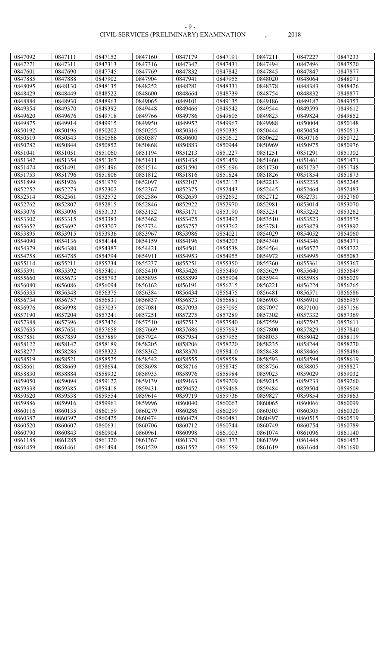#### CIVIL SERVICES (PRELIMINARY) EXAMINATION , 2018 - 9 -

| 0847092 | 0847111 | 0847152 | 0847160 | 0847179 | 0847191 | 0847211 | 0847227 | 0847233 |
|---------|---------|---------|---------|---------|---------|---------|---------|---------|
| 0847271 | 0847311 | 0847313 | 0847316 | 0847347 | 0847431 | 0847494 | 0847496 | 0847520 |
| 0847601 | 0847690 | 0847745 | 0847769 | 0847832 | 0847842 | 0847845 | 0847847 | 0847877 |
| 0847885 | 0847888 | 0847902 | 0847904 | 0847941 | 0847955 | 0848020 | 0848064 | 0848071 |
| 0848095 | 0848130 | 0848135 | 0848252 | 0848281 | 0848331 | 0848378 | 0848383 | 0848426 |
| 0848429 | 0848449 | 0848522 | 0848600 | 0848664 | 0848739 | 0848754 | 0848832 | 0848877 |
| 0848884 | 0848930 | 0848963 | 0849065 | 0849101 | 0849135 | 0849186 | 0849187 | 0849353 |
| 0849354 | 0849370 | 0849392 | 0849448 | 0849466 | 0849542 | 0849544 | 0849599 | 0849612 |
| 0849620 | 0849676 | 0849718 | 0849766 | 0849786 | 0849805 | 0849823 | 0849824 | 0849852 |
| 0849875 | 0849914 | 0849915 | 0849950 | 0849952 | 0849967 | 0849988 | 0850004 | 0850148 |
| 0850192 | 0850196 | 0850202 | 0850255 | 0850316 | 0850335 | 0850444 | 0850454 | 0850513 |
| 0850519 | 0850543 | 0850566 | 0850587 | 0850600 | 0850612 | 0850622 | 0850716 | 0850722 |
| 0850782 | 0850844 | 0850852 | 0850868 | 0850883 | 0850944 | 0850969 | 0850975 | 0850976 |
| 0851041 | 0851051 | 0851060 | 0851194 | 0851213 | 0851227 | 0851251 | 0851291 | 0851302 |
| 0851342 | 0851354 | 0851367 | 0851411 | 0851438 | 0851459 | 0851460 | 0851461 | 0851471 |
| 0851474 | 0851491 | 0851496 | 0851514 | 0851590 | 0851696 | 0851730 | 0851737 | 0851748 |
| 0851753 | 0851796 | 0851806 | 0851812 | 0851816 | 0851824 | 0851826 | 0851854 | 0851873 |
| 0851899 | 0851926 | 0851979 | 0852097 | 0852107 | 0852113 | 0852213 | 0852235 | 0852245 |
| 0852252 | 0852273 | 0852302 | 0852367 | 0852375 | 0852443 | 0852445 | 0852464 | 0852483 |
| 0852514 | 0852561 | 0852572 | 0852586 | 0852659 | 0852692 | 0852712 | 0852731 | 0852760 |
| 0852762 | 0852807 | 0852815 | 0852846 | 0852922 | 0852970 | 0852981 | 0853014 | 0853070 |
| 0853076 | 0853096 | 0853133 | 0853152 | 0853171 | 0853190 | 0853231 | 0853252 | 0853262 |
| 0853302 | 0853315 | 0853383 | 0853462 | 0853475 | 0853493 | 0853510 | 0853523 | 0853575 |
| 0853652 | 0853692 | 0853707 | 0853734 | 0853757 | 0853762 | 0853781 | 0853873 | 0853892 |
| 0853895 | 0853915 | 0853936 | 0853967 | 0853986 | 0854021 | 0854029 | 0854052 | 0854060 |
| 0854090 | 0854136 | 0854144 | 0854159 | 0854196 | 0854203 | 0854340 | 0854346 | 0854371 |
| 0854379 | 0854380 | 0854387 | 0854421 | 0854501 | 0854538 | 0854564 | 0854577 | 0854722 |
| 0854758 | 0854785 | 0854794 | 0854911 | 0854953 | 0854955 | 0854972 | 0854995 | 0855083 |
| 0855114 | 0855211 | 0855234 | 0855237 | 0855251 | 0855350 | 0855360 | 0855361 | 0855367 |
| 0855391 | 0855392 | 0855401 | 0855410 | 0855426 | 0855490 | 0855629 | 0855640 | 0855649 |
| 0855660 | 0855673 | 0855793 | 0855895 | 0855899 | 0855904 | 0855944 | 0855988 | 0856029 |
| 0856080 | 0856086 | 0856094 | 0856162 | 0856191 | 0856215 | 0856221 | 0856224 | 0856265 |
| 0856333 | 0856348 | 0856375 | 0856384 | 0856434 | 0856475 | 0856481 | 0856571 | 0856586 |
| 0856734 | 0856757 | 0856831 | 0856837 | 0856873 | 0856881 | 0856903 | 0856910 | 0856959 |
| 0856976 | 0856998 | 0857037 | 0857081 | 0857093 | 0857095 | 0857097 | 0857100 | 0857156 |
| 0857190 | 0857204 | 0857241 | 0857251 | 0857275 | 0857289 | 0857302 | 0857332 | 0857369 |
| 0857388 | 0857396 | 0857426 | 0857510 | 0857512 | 0857540 | 0857559 | 0857597 | 0857611 |
| 0857635 | 0857651 | 0857658 | 0857669 | 0857686 | 0857693 | 0857800 | 0857829 | 0857840 |
| 0857851 | 0857859 | 0857889 | 0857924 | 0857954 | 0857955 | 0858033 | 0858042 | 0858119 |
| 0858122 | 0858147 | 0858189 | 0858205 | 0858206 | 0858220 | 0858235 | 0858244 | 0858270 |
| 0858277 | 0858286 | 0858322 | 0858362 | 0858370 | 0858410 | 0858438 | 0858466 | 0858486 |
| 0858519 | 0858521 | 0858525 | 0858542 | 0858555 | 0858558 | 0858593 | 0858594 | 0858619 |
| 0858661 | 0858669 | 0858694 | 0858698 | 0858716 | 0858745 | 0858756 | 0858805 | 0858827 |
| 0858830 | 0858884 | 0858932 | 0858933 | 0858976 | 0858984 | 0859023 | 0859029 | 0859032 |
| 0859050 | 0859094 | 0859122 | 0859139 | 0859163 | 0859209 | 0859215 | 0859233 | 0859260 |
| 0859338 | 0859385 | 0859418 | 0859431 | 0859452 | 0859468 | 0859484 | 0859504 | 0859509 |
| 0859520 | 0859538 | 0859554 | 0859614 | 0859719 | 0859736 | 0859827 | 0859854 | 0859863 |
| 0859886 | 0859916 | 0859961 | 0859996 | 0860040 | 0860063 | 0860065 | 0860066 | 0860099 |
| 0860116 | 0860135 | 0860159 | 0860279 | 0860286 | 0860299 | 0860303 | 0860305 | 0860320 |
| 0860387 | 0860397 | 0860425 | 0860474 | 0860478 | 0860481 | 0860497 | 0860515 | 0860519 |
| 0860520 | 0860607 | 0860631 | 0860706 | 0860712 | 0860744 | 0860749 | 0860754 | 0860789 |
| 0860790 | 0860843 | 0860904 | 0860961 | 0860998 | 0861003 | 0861074 | 0861096 | 0861140 |
| 0861188 | 0861285 | 0861320 | 0861367 | 0861370 | 0861373 | 0861399 | 0861448 | 0861453 |
| 0861459 | 0861461 | 0861494 | 0861529 | 0861552 | 0861559 | 0861619 | 0861644 | 0861690 |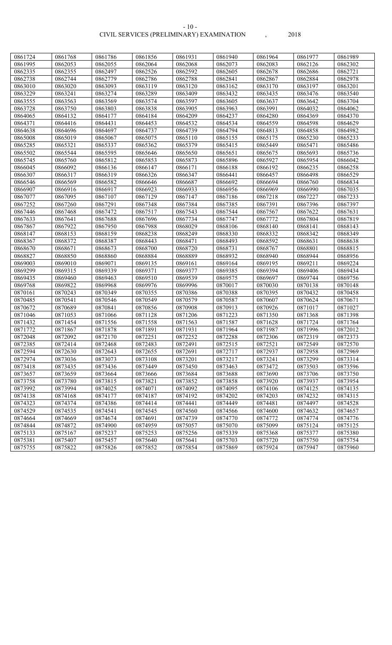CIVIL SERVICES (PRELIMINARY) EXAMINATION , 2018 - 10 -

| , |  |
|---|--|
| ) |  |

| 0861724 | 0861768 | 0861786 | 0861856 | 0861931 | 0861940 | 0861964 | 0861977 | 0861989 |
|---------|---------|---------|---------|---------|---------|---------|---------|---------|
| 0861995 | 0862053 | 0862055 | 0862064 | 0862068 | 0862073 | 0862083 | 0862126 | 0862302 |
| 0862335 | 0862355 | 0862497 | 0862526 | 0862592 | 0862605 | 0862678 | 0862686 | 0862721 |
| 0862738 | 0862744 | 0862779 | 0862786 | 0862788 | 0862841 | 0862867 | 0862884 | 0862978 |
| 0863010 | 0863020 | 0863093 | 0863119 | 0863120 | 0863162 | 0863170 | 0863197 | 0863201 |
| 0863229 | 0863241 | 0863274 | 0863289 | 0863409 | 0863432 | 0863435 | 0863476 | 0863540 |
| 0863555 | 0863563 | 0863569 | 0863574 | 0863597 | 0863605 | 0863637 | 0863642 | 0863704 |
| 0863728 | 0863750 | 0863803 | 0863838 | 0863905 | 0863963 | 0863991 | 0864032 | 0864062 |
| 0864065 | 0864132 | 0864177 | 0864184 | 0864209 | 0864237 | 0864280 | 0864369 | 0864370 |
| 0864371 | 0864416 | 0864431 | 0864453 | 0864532 | 0864534 | 0864559 | 0864598 | 0864629 |
| 0864638 | 0864696 | 0864697 | 0864737 | 0864739 | 0864794 | 0864813 | 0864858 | 0864982 |
| 0865008 | 0865019 | 0865067 | 0865075 | 0865110 | 0865155 | 0865175 | 0865230 | 0865233 |
| 0865285 | 0865321 | 0865337 | 0865362 | 0865379 | 0865415 | 0865449 | 0865471 | 0865486 |
| 0865502 | 0865544 | 0865595 | 0865646 | 0865650 | 0865651 | 0865675 | 0865693 | 0865736 |
| 0865745 | 0865760 | 0865812 | 0865853 | 0865873 | 0865896 | 0865927 | 0865954 | 0866042 |
| 0866045 | 0866092 | 0866136 | 0866147 | 0866171 | 0866188 | 0866192 | 0866235 | 0866258 |
| 0866307 | 0866317 | 0866319 | 0866326 | 0866347 | 0866441 | 0866457 | 0866498 | 0866529 |
| 0866546 | 0866569 | 0866582 | 0866646 | 0866687 | 0866692 | 0866694 | 0866760 | 0866834 |
| 0866907 | 0866916 | 0866917 | 0866923 | 0866933 | 0866956 | 0866969 | 0866990 | 0867035 |
| 0867077 | 0867095 | 0867107 | 0867129 | 0867147 | 0867186 | 0867218 | 0867227 | 0867233 |
| 0867252 | 0867260 | 0867291 | 0867348 | 0867384 | 0867385 | 0867391 | 0867396 | 0867397 |
| 0867446 | 0867468 | 0867472 | 0867517 | 0867543 | 0867544 | 0867567 | 0867622 | 0867631 |
| 0867633 | 0867641 | 0867688 | 0867696 | 0867734 | 0867747 | 0867772 | 0867804 | 0867819 |
| 0867867 | 0867922 | 0867950 | 0867988 | 0868029 | 0868106 | 0868140 | 0868141 | 0868143 |
| 0868147 | 0868153 | 0868159 | 0868238 | 0868249 | 0868330 | 0868332 | 0868342 | 0868349 |
| 0868367 | 0868372 | 0868387 | 0868443 | 0868471 | 0868493 | 0868592 | 0868631 | 0868638 |
| 0868670 | 0868671 | 0868673 | 0868700 | 0868720 | 0868731 | 0868767 | 0868801 | 0868815 |
| 0868827 | 0868850 | 0868860 | 0868884 | 0868889 | 0868932 | 0868940 | 0868944 | 0868956 |
| 0869003 | 0869010 | 0869071 | 0869135 | 0869161 | 0869164 | 0869195 | 0869211 | 0869224 |
| 0869299 | 0869315 | 0869339 | 0869371 | 0869377 | 0869385 | 0869394 | 0869406 | 0869434 |
| 0869435 | 0869460 | 0869463 | 0869510 | 0869539 | 0869575 | 0869697 | 0869744 | 0869756 |
| 0869768 | 0869822 | 0869968 | 0869976 | 0869996 | 0870017 | 0870030 | 0870138 | 0870148 |
| 0870161 | 0870243 | 0870349 | 0870355 | 0870386 | 0870388 | 0870395 | 0870432 | 0870458 |
| 0870485 | 0870541 | 0870546 | 0870549 | 0870579 | 0870587 | 0870607 | 0870624 | 0870671 |
| 0870672 | 0870689 | 0870841 | 0870856 | 0870908 | 0870913 | 0870926 | 0871017 | 0871027 |
| 0871046 | 0871053 | 0871066 | 0871128 | 0871206 | 0871223 | 0871350 | 0871368 | 0871398 |
| 0871432 | 0871454 | 0871556 | 0871558 | 0871563 | 0871587 | 0871628 | 0871724 | 0871764 |
| 0871772 | 0871867 | 0871878 | 0871891 | 0871931 | 0871964 | 0871987 | 0871996 | 0872012 |
| 0872048 | 0872092 | 0872170 | 0872251 | 0872252 | 0872288 | 0872306 | 0872319 | 0872373 |
| 0872385 | 0872414 | 0872468 | 0872483 | 0872491 | 0872515 | 0872521 | 0872549 | 0872570 |
| 0872594 | 0872630 | 0872643 | 0872655 | 0872691 | 0872717 | 0872937 | 0872958 | 0872969 |
| 0872974 | 0873036 | 0873073 | 0873108 | 0873201 | 0873217 | 0873241 | 0873299 | 0873314 |
| 0873418 | 0873435 | 0873436 | 0873449 | 0873450 | 0873463 | 0873472 | 0873503 | 0873596 |
| 0873657 | 0873659 | 0873664 | 0873666 | 0873684 | 0873688 | 0873690 | 0873706 | 0873750 |
| 0873758 | 0873780 | 0873815 | 0873821 | 0873852 | 0873858 | 0873920 | 0873937 | 0873954 |
| 0873992 | 0873994 | 0874025 | 0874071 | 0874092 | 0874095 | 0874106 | 0874125 | 0874135 |
| 0874138 | 0874168 | 0874177 | 0874187 | 0874192 | 0874202 | 0874203 | 0874232 | 0874315 |
| 0874323 | 0874374 | 0874386 | 0874414 | 0874441 | 0874449 | 0874481 | 0874497 | 0874528 |
| 0874529 | 0874535 | 0874541 | 0874545 | 0874560 | 0874566 | 0874600 | 0874632 | 0874657 |
| 0874664 | 0874669 | 0874674 | 0874691 | 0874739 | 0874770 | 0874772 | 0874774 | 0874776 |
| 0874844 | 0874872 | 0874900 | 0874959 | 0875057 | 0875070 | 0875099 | 0875124 | 0875125 |
| 0875133 | 0875167 | 0875237 | 0875253 | 0875256 | 0875339 | 0875368 | 0875377 | 0875380 |
| 0875381 | 0875407 | 0875457 | 0875640 | 0875641 | 0875703 | 0875720 | 0875750 | 0875754 |
| 0875755 | 0875822 | 0875826 | 0875852 | 0875854 | 0875869 | 0875924 | 0875947 | 0875960 |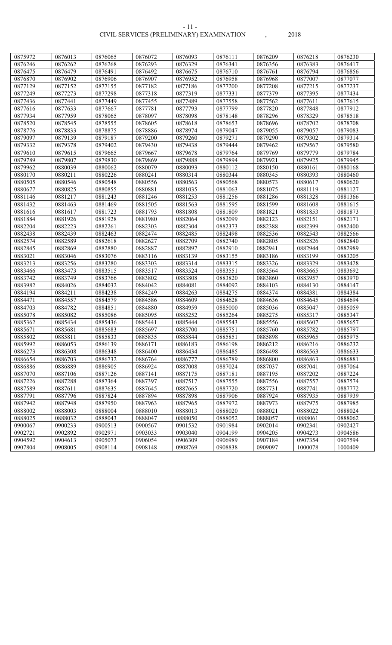|                    |                    |                    |                    | 0876093 |                    |                    |                    |                    |
|--------------------|--------------------|--------------------|--------------------|---------|--------------------|--------------------|--------------------|--------------------|
| 0875972<br>0876246 | 0876013<br>0876262 | 0876065<br>0876268 | 0876072<br>0876293 | 0876329 | 0876111<br>0876341 | 0876209<br>0876356 | 0876218<br>0876383 | 0876230<br>0876417 |
| 0876475            | 0876479            | 0876491            | 0876492            | 0876675 | 0876710            | 0876761            | 0876794            | 0876856            |
|                    |                    |                    |                    |         |                    |                    |                    |                    |
| 0876870            | 0876902            | 0876906            | 0876907            | 0876952 | 0876958            | 0876968            | 0877007            | 0877077            |
| 0877129            | 0877152            | 0877155            | 0877182            | 0877186 | 0877200            | 0877208            | 0877215            | 0877237            |
| 0877249            | 0877273            | 0877298            | 0877318            | 0877319 | 0877331            | 0877379            | 0877395            | 0877434            |
| 0877436            | 0877441            | 0877449            | 0877455            | 0877489 | 0877558            | 0877562            | 0877611            | 0877615            |
| 0877616            | 0877633            | 0877667            | 0877781            | 0877793 | 0877799            | 0877820            | 0877848            | 0877912            |
| 0877934            | 0877959            | 0878065            | 0878097            | 0878098 | 0878148            | 0878296            | 0878329            | 0878518            |
| 0878520            | 0878545            | 0878555            | 0878605            | 0878618 | 0878653            | 0878696            | 0878702            | 0878708            |
| 0878776            | 0878833            | 0878875            | 0878886            | 0878974 | 0879047            | 0879055            | 0879057            | 0879083            |
| 0879097            | 0879139            | 0879187            | 0879200            | 0879260 | 0879271            | 0879290            | 0879302            | 0879314            |
| 0879332            | 0879378            | 0879402            | 0879430            | 0879438 | 0879444            | 0879462            | 0879567            | 0879580            |
| 0879610            | 0879615            | 0879665            | 0879667            | 0879678 | 0879764            | 0879769            | 0879779            | 0879784            |
| 0879789            | 0879807            | 0879830            | 0879869            | 0879888 | 0879894            | 0879921            | 0879925            | 0879945            |
| 0879962            | 0880039            | 0880062            | 0880079            | 0880093 | 0880112            | 0880150            | 0880161            | 0880168            |
| 0880170            | 0880211            | 0880226            | 0880241            | 0880314 | 0880344            | 0880345            | 0880393            | 0880460            |
| 0880505            | 0880546            | 0880548            | 0880556            | 0880563 | 0880568            | 0880573            | 0880617            | 0880620            |
| 0880677            | 0880825            | 0880855            | 0880881            | 0881035 | 0881063            | 0881075            | 0881119            | 0881127            |
| 0881146            | 0881217            | 0881243            | 0881246            | 0881253 | 0881256            | 0881286            | 0881328            | 0881366            |
| 0881432            | 0881463            | 0881469            | 0881505            | 0881563 | 0881595            | 0881599            | 0881608            | 0881615            |
| 0881616            | 0881617            | 0881723            | 0881793            | 0881808 | 0881809            | 0881821            | 0881853            | 0881873            |
| 0881884            | 0881926            | 0881928            | 0881980            | 0882064 | 0882099            | 0882123            | 0882151            | 0882171            |
| 0882204            | 0882223            | 0882261            | 0882303            | 0882304 | 0882373            | 0882388            | 0882399            | 0882400            |
| 0882438            | 0882439            | 0882463            | 0882474            | 0882485 | 0882498            | 0882536            | 0882543            | 0882566            |
| 0882574            | 0882589            | 0882618            | 0882627            | 0882709 | 0882740            | 0882805            | 0882826            | 0882840            |
| 0882845            | 0882869            | 0882880            | 0882887            | 0882897 | 0882910            | 0882941            | 0882944            | 0882989            |
| 0883021            | 0883046            | 0883076            | 0883116            | 0883139 | 0883155            | 0883186            | 0883199            | 0883205            |
| 0883213            | 0883256            | 0883280            | 0883303            | 0883314 | 0883315            | 0883326            | 0883329            | 0883428            |
| 0883466            | 0883473            | 0883515            | 0883517            | 0883524 | 0883551            | 0883564            | 0883665            | 0883692            |
| 0883742            | 0883749            | 0883766            | 0883802            | 0883808 | 0883820            | 0883860            | 0883957            | 0883970            |
| 0883982            | 0884026            | 0884032            | 0884042            | 0884081 | 0884092            | 0884103            | 0884130            | 0884147            |
| 0884194            | 0884211            | 0884238            | 0884249            | 0884263 | 0884275            | 0884374            | 0884381            | 0884384            |
| 0884471            | 0884557            | 0884579            | 0884586            | 0884609 | 0884628            | 0884636            | 0884645            | 0884694            |
| 0884703            | 0884782            | 0884851            | 0884880            | 0884959 | 0885000            | 0885036            | 0885047            | 0885059            |
| 0885078            | 0885082            | 0885086            | 0885095            | 0885252 | 0885264            | 0885275            | 0885317            | 0885347            |
| 0885362            | 0885434            | 0885436            | 0885441            | 0885444 | 0885543            | 0885556            | 0885607            | 0885657            |
| 0885671            | 0885681            | 0885683            | 0885697            | 0885700 | 0885751            | 0885760            | 0885782            | 0885797            |
| 0885802            | 0885811            | 0885833            | 0885835            | 0885844 | 0885851            | 0885898            | 0885965            | 0885975            |
| 0885992            | 0886053            | 0886139            | 0886171            | 0886183 | 0886198            | 0886212            | 0886216            | 0886232            |
| 0886273            | 0886308            | 0886348            | 0886400            | 0886434 | 0886485            | 0886498            | 0886563            | 0886633            |
| 0886654            | 0886703            | 0886732            | 0886764            | 0886777 | 0886789            | 0886800            | 0886863            | 0886881            |
| 0886886            | 0886889            | 0886905            | 0886924            | 0887008 | 0887024            | 0887037            | 0887041            | 0887064            |
| 0887070            | 0887106            | 0887126            | 0887141            | 0887175 | 0887181            | 0887195            | 0887202            | 0887224            |
| 0887226            | 0887288            | 0887364            | 0887397            | 0887517 | 0887555            | 0887556            | 0887557            | 0887574            |
| 0887589            | 0887611            | 0887635            | 0887645            | 0887665 | 0887720            | 0887731            | 0887741            | 0887772            |
| 0887791            | 0887796            | 0887824            | 0887894            | 0887898 | 0887906            | 0887924            | 0887935            | 0887939            |
| 0887942            | 0887948            | 0887950            | 0887963            | 0887965 | 0887972            | 0887973            | 0887975            | 0887985            |
| 0888002            | 0888003            | 0888004            | 0888010            | 0888013 | 0888020            | 0888021            | 0888022            | 0888024            |
| 0888025            | 0888032            | 0888043            | 0888047            | 0888050 | 0888052            | 0888057            | 0888061            | 0888062            |
| 0900067            | 0900233            | 0900513            | 0900567            | 0901532 | 0901984            | 0902014            | 0902341            | 0902427            |
| 0902721            | 0902892            | 0902971            | 0903033            | 0903040 | 0904199            | 0904205            | 0904273            | 0904586            |
| 0904592            | 0904613            | 0905073            | 0906054            | 0906309 | 0906989            | 0907184            | 0907354            | 0907594            |
| 0907804            | 0908005            | 0908114            | 0908148            | 0908769 | 0908838            | 0909097            | 1000078            | 1000409            |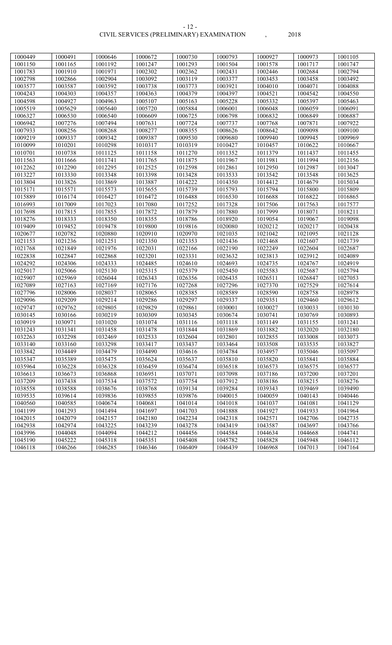#### CIVIL SERVICES (PRELIMINARY) EXAMINATION , 2018 - 12 -

| 1000449 | 1000491 | 1000646 | 1000672 | 1000730 | 1000793 | 1000927 | 1000973 | 1001105 |
|---------|---------|---------|---------|---------|---------|---------|---------|---------|
| 1001150 | 1001165 | 1001192 | 1001247 | 1001293 | 1001504 | 1001578 | 1001717 | 1001747 |
| 1001783 | 1001910 | 1001971 | 1002302 | 1002362 | 1002431 | 1002446 | 1002684 | 1002794 |
| 1002798 | 1002866 | 1002904 | 1003092 | 1003119 | 1003377 | 1003453 | 1003458 | 1003492 |
| 1003577 | 1003587 | 1003592 | 1003738 | 1003773 | 1003921 | 1004010 | 1004071 | 1004088 |
| 1004243 | 1004303 | 1004357 | 1004363 | 1004379 | 1004397 | 1004521 | 1004542 | 1004550 |
| 1004598 | 1004927 | 1004963 | 1005107 | 1005163 | 1005228 | 1005332 | 1005397 | 1005463 |
| 1005519 | 1005629 | 1005640 | 1005720 | 1005884 | 1006001 | 1006048 | 1006059 | 1006091 |
| 1006327 | 1006530 | 1006540 | 1006609 | 1006725 | 1006798 | 1006832 | 1006849 | 1006887 |
| 1006942 | 1007276 | 1007494 | 1007631 | 1007724 | 1007737 | 1007768 | 1007871 | 1007922 |
| 1007933 | 1008256 | 1008268 | 1008277 | 1008355 | 1008626 | 1008642 | 1009098 | 1009100 |
| 1009219 | 1009337 | 1009342 | 1009387 | 1009530 | 1009680 | 1009940 | 1009945 | 1009969 |
| 1010099 | 1010201 | 1010298 | 1010317 | 1010319 | 1010427 | 1010457 | 1010622 | 1010667 |
| 1010701 | 1010738 | 1011125 | 1011158 | 1011270 | 1011352 | 1011379 | 1011437 | 1011455 |
| 1011563 | 1011666 | 1011741 | 1011765 | 1011875 | 1011967 | 1011981 | 1011994 | 1012156 |
| 1012262 | 1012290 | 1012295 | 1012525 | 1012598 | 1012861 | 1012950 | 1012987 | 1013047 |
| 1013227 | 1013330 | 1013348 | 1013398 | 1013428 | 1013533 | 1013542 | 1013548 | 1013625 |
| 1013804 | 1013826 | 1013869 | 1013887 | 1014222 | 1014350 | 1014412 | 1014679 | 1015034 |
| 1015171 | 1015571 | 1015573 | 1015655 | 1015739 | 1015793 | 1015794 | 1015800 | 1015809 |
| 1015889 | 1016174 | 1016427 | 1016472 | 1016488 | 1016530 | 1016688 | 1016822 | 1016865 |
| 1016993 | 1017009 | 1017023 | 1017080 | 1017252 | 1017328 | 1017506 | 1017563 | 1017577 |
| 1017698 | 1017815 | 1017855 | 1017872 | 1017879 | 1017880 | 1017999 | 1018071 | 1018211 |
| 1018276 | 1018333 | 1018350 | 1018355 | 1018786 | 1018920 | 1019054 | 1019067 | 1019098 |
| 1019409 | 1019452 | 1019478 | 1019800 | 1019816 | 1020080 | 1020212 | 1020217 | 1020438 |
| 1020677 | 1020782 | 1020880 | 1020910 | 1020970 | 1021035 | 1021042 | 1021095 | 1021128 |
| 1021153 | 1021236 | 1021251 | 1021350 | 1021353 | 1021436 | 1021468 | 1021607 | 1021739 |
| 1021768 | 1021849 | 1021976 | 1022031 | 1022166 | 1022190 | 1022249 | 1022604 | 1022687 |
| 1022838 | 1022847 | 1022868 | 1023201 | 1023331 | 1023632 | 1023813 | 1023912 | 1024089 |
| 1024292 | 1024306 | 1024333 | 1024485 | 1024610 | 1024693 | 1024735 | 1024767 | 1024919 |
| 1025017 | 1025066 | 1025130 | 1025315 | 1025379 | 1025450 | 1025583 | 1025687 | 1025794 |
| 1025907 | 1025969 | 1026044 | 1026343 | 1026356 | 1026435 | 1026511 | 1026847 | 1027053 |
| 1027089 | 1027163 | 1027169 | 1027176 | 1027268 | 1027296 | 1027370 | 1027529 | 1027614 |
| 1027796 | 1028006 | 1028037 | 1028065 | 1028385 | 1028589 | 1028590 | 1028758 | 1028978 |
| 1029096 | 1029209 | 1029214 | 1029286 | 1029297 | 1029337 | 1029351 | 1029460 | 1029612 |
| 1029747 | 1029762 | 1029805 | 1029829 | 1029861 | 1030001 | 1030027 | 1030033 | 1030130 |
| 1030145 | 1030166 | 1030219 | 1030309 | 1030345 | 1030674 | 1030741 | 1030769 | 1030893 |
| 1030919 | 1030971 | 1031020 | 1031074 | 1031116 | 1031118 | 1031149 | 1031155 | 1031241 |
| 1031243 | 1031341 | 1031458 | 1031478 | 1031844 | 1031869 | 1031882 | 1032020 | 1032180 |
| 1032263 | 1032298 | 1032469 | 1032533 | 1032604 | 1032801 | 1032855 | 1033008 | 1033073 |
| 1033140 | 1033160 | 1033298 | 1033417 | 1033437 | 1033464 | 1033508 | 1033535 | 1033827 |
| 1033842 | 1034449 | 1034479 | 1034490 | 1034616 | 1034784 | 1034957 | 1035046 | 1035097 |
| 1035347 | 1035389 | 1035475 | 1035624 | 1035637 | 1035810 | 1035820 | 1035841 | 1035884 |
| 1035964 | 1036228 | 1036328 | 1036459 | 1036474 | 1036518 | 1036573 | 1036575 | 1036577 |
| 1036613 | 1036673 | 1036868 | 1036951 | 1037071 | 1037098 | 1037186 | 1037200 | 1037201 |
| 1037209 | 1037438 | 1037534 | 1037572 | 1037754 | 1037912 | 1038186 | 1038215 | 1038276 |
| 1038558 | 1038588 | 1038676 | 1038768 | 1039134 | 1039284 | 1039343 | 1039469 | 1039490 |
| 1039535 | 1039614 | 1039836 | 1039855 | 1039876 | 1040015 | 1040059 | 1040143 | 1040446 |
| 1040560 | 1040585 | 1040674 | 1040681 | 1041014 | 1041018 | 1041037 | 1041081 | 1041129 |
| 1041199 | 1041293 | 1041494 | 1041697 | 1041703 | 1041888 | 1041927 | 1041933 | 1041964 |
| 1042015 | 1042079 | 1042157 | 1042180 | 1042234 | 1042318 | 1042571 | 1042706 | 1042735 |
| 1042938 | 1042974 | 1043225 | 1043239 | 1043278 | 1043419 | 1043587 | 1043697 | 1043766 |
| 1043996 | 1044048 | 1044094 | 1044212 | 1044456 | 1044584 | 1044634 | 1044668 | 1044741 |
| 1045190 | 1045222 | 1045318 | 1045351 | 1045408 | 1045782 | 1045828 | 1045948 | 1046112 |
| 1046118 | 1046266 | 1046285 | 1046346 | 1046409 | 1046439 | 1046968 | 1047013 | 1047164 |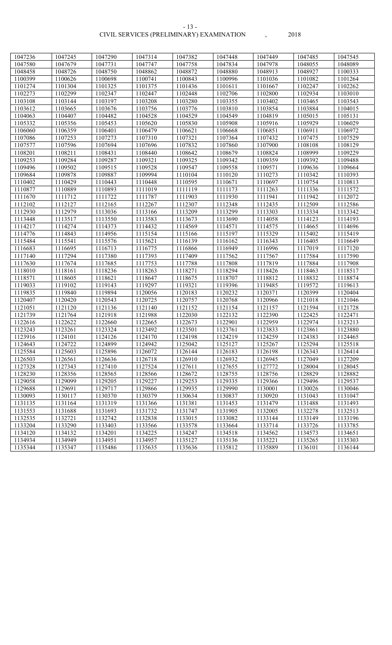| 1047236            | 1047245            | 1047290            | 1047314            | 1047382            | 1047448            | 1047449            | 1047485            | 1047545            |
|--------------------|--------------------|--------------------|--------------------|--------------------|--------------------|--------------------|--------------------|--------------------|
| 1047580            | 1047679            | 1047731            | 1047747            | 1047758            | 1047834            | 1047978            | 1048055            | 1048089            |
| 1048458            | 1048726            | 1048750            | 1048862            | 1048872            | 1048880            | 1048913            | 1048927            | 1100333            |
| 1100399            | 1100626            | 1100698            | 1100741            | 1100843            | 1100996            | 1101036            | 1101082            | 1101264            |
| 1101274            | 1101304            | 1101325            | 1101375            | 1101436            | 1101611            | 1101667            | 1102247            | 1102262            |
| 1102273            | 1102299            | 1102347            | 1102447            | 1102448            | 1102706            | 1102800            | 1102934            | 1103010            |
| 1103108            | 1103144            | 1103197            | 1103208            | 1103280            | 1103355            | 1103402            | 1103465            | 1103543            |
| 1103612            | 1103665            | 1103676            | 1103756            | 1103776            | 1103810            | 1103854            | 1103884            | 1104015            |
| 1104063            | 1104407            | 1104482            | 1104528            | 1104529            | 1104549            | 1104819            | 1105015            | 1105131            |
| 1105332            | 1105356            | 1105453            | 1105620            | 1105830            | 1105908            | 1105916            | 1105929            | 1106029            |
| 1106060            | 1106359            | 1106401            | 1106479            | 1106621            | 1106668            | 1106851            | 1106911            | 1106972            |
| 1107086            | 1107253            | 1107273            | 1107310            | 1107321            | 1107364            | 1107432            | 1107475            | 1107529            |
| 1107577            | 1107596            | 1107694            | 1107696            | 1107832            | 1107860            | 1107900            | 1108108            | 1108129            |
| 1108201            | 1108211            | 1108431            | 1108440            | 1108642            | 1108679            | 1108824            | 1108999            | 1109229            |
| 1109253            | 1109284            | 1109287            | 1109321            | 1109325            | 1109342            | 1109359            | 1109392            | 1109488            |
| 1109496            | 1109502            | 1109515            | 1109528            | 1109547            | 1109558            | 1109571            | 1109636            | 1109664            |
| 1109684            | 1109878            | 1109887            | 1109994            | 1110104            | 1110120            | 1110273            | 1110342            | 1110393            |
| 1110402            | 1110429            | 1110443            | 1110448            | 1110595            | 1110671            | 1110697            | 1110754            | 1110813            |
| 1110877            | 1110889            | 1110893            | 1111019            | 1111119            | 1111173            | 1111263            | 1111336            | 1111572            |
| 1111670            | 1111712            | 1111722            | 1111787            | 1111903            | 1111930            | 1111941            | 1111942            | 1112072            |
| 1112102            | 1112127            | 1112165            | 1112267            | 1112307            | 1112348            | 1112435            | 1112509            | 1112586            |
| 1112930            | 1112979            | 1113036            | 1113166            | 1113209            | 1113299            | 1113303            | 1113334            | 1113342            |
| 1113448            | 1113517            | 1113550            | 1113583            | 1113673            | 1113690            | 1114058            | 1114123            | 1114193            |
| 1114217            | 1114274            | 1114373            | 1114432            | 1114569            | 1114571            | 1114575            | 1114665            | 1114696            |
| 1114776            | 1114843            | 1114956            | 1115154            | 1115166            | 1115197            | 1115329            | 1115402            | 1115419            |
| 1115484            | 1115541            | 1115576            | 1115621            | 1116139            | 1116162            | 1116343            | 1116405            | 1116649            |
| 1116683            | 1116695            | 1116713            | 1116775            | 1116866            | 1116949            | 1116996            | 1117019            | 1117120            |
| 1117140            | 1117294            | 1117380            | 1117393            | 1117409            | 1117562            | 1117567            | 1117584            | 1117590            |
| 1117630            | 1117674            | 1117685            | 1117753            | 1117788            | 1117808            | 1117819            | 1117884            | 1117908            |
| 1118010            | 1118161            | 1118236            | 1118263            | 1118271            | 1118294            | 1118426            | 1118463            | 1118517            |
| 1118571            | 1118605            | 1118621            | 1118647            | 1118675            | 1118707            | 1118812            | 1118832            | 1118874            |
| 1119033            | 1119102            | 1119143            | 1119297            | 1119321            | 1119396            | 1119485            | 1119572            | 1119613            |
| 1119835            | 1119840            | 1119894            | 1120056            | 1120183            | 1120232            | 1120371            | 1120399            | 1120404            |
| 1120407            | 1120420            | 1120543            | 1120725            | 1120757            | 1120768            | 1120966            | 1121018            | 1121046            |
| 1121051            | 1121120            | 1121136            | 1121140            | 1121152            | 1121154            | 1121157            | 1121594            | 1121728            |
| 1121739            | 1121764            | 1121918            | 1121988            | 1122030            | 1122132            | 1122390            | 1122425            | 1122471            |
| 1122616            | 1122622            | 1122660            | 1122665            | 1122673            | 1122901            | 1122959            | 1122974            | 1123213            |
| 1123243            | 1123261            | 1123324            | 1123492            | 1123501            | 1123761            | 1123833            | 1123861            | 1123880            |
| 1123916            | 1124101            | 1124126            | 1124170            | 1124198            | 1124219            | 1124259            | 1124383            | 1124465            |
| 1124643            | 1124722            | 1124899            | 1124942            | 1125042            | 1125127            | 1125267            | 1125294            | 1125518            |
| 1125584            | 1125603            | 1125896            | 1126072            | 1126144            | 1126183            | 1126198            | 1126343            | 1126414            |
| 1126503            | 1126561            | 1126636            | 1126718            | 1126910            | 1126932            | 1126945            | 1127049            | 1127209            |
| 1127328            | 1127343            | 1127410            | 1127524            | 1127611            | 1127655            | 1127772            | 1128004            | 1128045            |
| 1128230            | 1128356            | 1128565            | 1128566            | 1128672            | 1128755            | 1128756            | 1128829            | 1128882            |
| 1129058            | 1129099            | 1129205            | 1129227            | 1129253            | 1129335            | 1129366            | 1129496            | 1129537            |
| 1129688            | 1129691            | 1129717            | 1129866            | 1129935            | 1129990            | 1130001            | 1130026            | 1130046            |
| 1130093            | 1130117            | 1130370            | 1130379            | 1130634            | 1130837            | 1130920            | 1131043            | 1131047            |
| 1131135<br>1131553 | 1131164<br>1131688 | 1131319<br>1131693 | 1131366<br>1131732 | 1131381<br>1131747 | 1131453<br>1131905 | 1131479<br>1132005 | 1131488<br>1132278 | 1131493<br>1132513 |
| 1132535            | 1132721            | 1132742            | 1132838            | 1133015            | 1133082            | 1133144            | 1133149            | 1133196            |
| 1133204            | 1133290            | 1133403            | 1133566            | 1133578            | 1133664            | 1133714            | 1133726            | 1133785            |
| 1134120            | 1134132            | 1134201            | 1134225            | 1134247            | 1134518            | 1134562            | 1134573            | 1134651            |
| 1134934            | 1134949            | 1134951            | 1134957            | 1135127            | 1135136            | 1135221            | 1135265            | 1135303            |
| 1135344            | 1135347            | 1135486            | 1135635            | 1135636            | 1135812            | 1135889            | 1136101            | 1136144            |
|                    |                    |                    |                    |                    |                    |                    |                    |                    |

- 13 -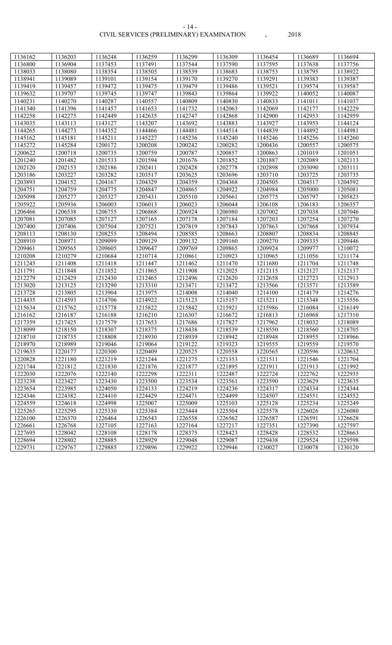#### CIVIL SERVICES (PRELIMINARY) EXAMINATION , 2018 - 14 -

| 1136162 | 1136203 | 1136248 | 1136259 | 1136299 | 1136309 | 1136454 | 1136689 | 1136694 |
|---------|---------|---------|---------|---------|---------|---------|---------|---------|
| 1136800 | 1136904 | 1137453 | 1137491 | 1137544 | 1137590 | 1137595 | 1137638 | 1137756 |
| 1138033 | 1138080 | 1138354 | 1138505 | 1138539 | 1138683 | 1138753 | 1138795 | 1138922 |
| 1138941 | 1139089 | 1139101 | 1139154 | 1139170 | 1139270 | 1139291 | 1139383 | 1139387 |
| 1139419 | 1139457 | 1139472 | 1139475 | 1139479 | 1139486 | 1139521 | 1139574 | 1139587 |
| 1139632 | 1139707 | 1139745 | 1139747 | 1139843 | 1139864 | 1139922 | 1140052 | 1140087 |
| 1140231 | 1140270 | 1140287 | 1140557 | 1140809 | 1140830 | 1140833 | 1141011 | 1141037 |
| 1141340 | 1141396 | 1141457 | 1141653 | 1141732 | 1142063 | 1142069 | 1142177 | 1142229 |
| 1142258 | 1142275 | 1142449 | 1142635 | 1142747 | 1142868 | 1142900 | 1142953 | 1142959 |
| 1143035 | 1143113 | 1143127 | 1143207 | 1143692 | 1143883 | 1143927 | 1143953 | 1144124 |
| 1144265 | 1144273 | 1144352 | 1144466 | 1144481 | 1144514 | 1144839 | 1144892 | 1144981 |
| 1145162 | 1145181 | 1145211 | 1145227 | 1145236 | 1145240 | 1145246 | 1145256 | 1145260 |
| 1145272 | 1145284 | 1200172 | 1200208 | 1200242 | 1200282 | 1200436 | 1200557 | 1200575 |
| 1200622 | 1200718 | 1200735 | 1200759 | 1200787 | 1200857 | 1200863 | 1201019 | 1201051 |
| 1201240 | 1201482 | 1201533 | 1201594 | 1201676 | 1201852 | 1201887 | 1202089 | 1202113 |
| 1202120 | 1202153 | 1202186 | 1202411 | 1202428 | 1202778 | 1202898 | 1203090 | 1203111 |
| 1203186 | 1203227 | 1203282 | 1203517 | 1203625 | 1203696 | 1203710 | 1203725 | 1203735 |
| 1203893 | 1204152 | 1204167 | 1204329 | 1204359 | 1204368 | 1204505 | 1204517 | 1204592 |
| 1204751 | 1204759 | 1204775 | 1204847 | 1204865 | 1204922 | 1204984 | 1205000 | 1205081 |
| 1205098 | 1205277 | 1205327 | 1205431 | 1205510 | 1205661 | 1205775 | 1205797 | 1205823 |
| 1205922 | 1205936 | 1206003 | 1206013 | 1206023 | 1206044 | 1206108 | 1206183 | 1206357 |
| 1206466 | 1206538 | 1206755 | 1206868 | 1206924 | 1206980 | 1207002 | 1207038 | 1207046 |
| 1207081 | 1207085 | 1207127 | 1207165 | 1207178 | 1207184 | 1207203 | 1207254 | 1207270 |
| 1207400 | 1207406 | 1207504 | 1207521 | 1207819 | 1207843 | 1207863 | 1207868 | 1207934 |
| 1208113 | 1208130 | 1208255 | 1208494 | 1208585 | 1208663 | 1208807 | 1208834 | 1208845 |
| 1208910 | 1208971 | 1209099 | 1209129 | 1209132 | 1209160 | 1209270 | 1209335 | 1209446 |
| 1209461 | 1209565 | 1209605 | 1209647 | 1209769 | 1209865 | 1209924 | 1209977 | 1210072 |
| 1210208 | 1210279 | 1210684 | 1210714 | 1210861 | 1210923 | 1210965 | 1211056 | 1211174 |
| 1211245 | 1211408 | 1211418 | 1211447 | 1211462 | 1211470 | 1211680 | 1211704 | 1211748 |
| 1211791 | 1211848 | 1211852 | 1211865 | 1211908 | 1212025 | 1212115 | 1212127 | 1212137 |
| 1212279 | 1212429 | 1212430 | 1212465 | 1212496 | 1212620 | 1212658 | 1212723 | 1212913 |
| 1213020 | 1213125 | 1213290 | 1213310 | 1213471 | 1213472 | 1213566 | 1213571 | 1213589 |
| 1213728 | 1213805 | 1213904 | 1213975 | 1214008 | 1214040 | 1214100 | 1214179 | 1214276 |
| 1214435 | 1214593 | 1214706 | 1214922 | 1215123 | 1215157 | 1215211 | 1215348 | 1215556 |
| 1215634 | 1215762 | 1215778 | 1215822 | 1215842 | 1215921 | 1215986 | 1216084 | 1216149 |
| 1216162 | 1216187 | 1216188 | 1216210 | 1216307 | 1216672 | 1216813 | 1216968 | 1217310 |
| 1217359 | 1217425 | 1217579 | 1217653 | 1217686 | 1217827 | 1217962 | 1218032 | 1218089 |
| 1218099 | 1218150 | 1218307 | 1218375 | 1218438 | 1218539 | 1218550 | 1218560 | 1218705 |
| 1218710 | 1218735 | 1218808 | 1218930 | 1218939 | 1218942 | 1218948 | 1218955 | 1218966 |
| 1218970 | 1218989 | 1219046 | 1219064 | 1219122 | 1219323 | 1219555 | 1219559 | 1219570 |
| 1219635 | 1220177 | 1220300 | 1220409 | 1220525 | 1220558 | 1220565 | 1220596 | 1220632 |
| 1220828 | 1221180 | 1221219 | 1221244 | 1221275 | 1221353 | 1221511 | 1221546 | 1221704 |
| 1221744 | 1221812 | 1221830 | 1221876 | 1221877 | 1221895 | 1221911 | 1221913 | 1221992 |
| 1222030 | 1222076 | 1222140 | 1222298 | 1222311 | 1222487 | 1222724 | 1222762 | 1222935 |
| 1223238 | 1223427 | 1223430 | 1223500 | 1223534 | 1223561 | 1223590 | 1223629 | 1223635 |
| 1223654 | 1223985 | 1224050 | 1224133 | 1224219 | 1224236 | 1224317 | 1224334 | 1224344 |
| 1224346 | 1224382 | 1224410 | 1224429 | 1224471 | 1224499 | 1224507 | 1224551 | 1224552 |
| 1224559 | 1224618 | 1224998 | 1225007 | 1225009 | 1225103 | 1225128 | 1225234 | 1225249 |
| 1225265 | 1225295 | 1225330 | 1225384 | 1225444 | 1225504 | 1225578 | 1226026 | 1226080 |
| 1226100 | 1226370 | 1226464 | 1226543 | 1226558 | 1226562 | 1226587 | 1226591 | 1226628 |
| 1226661 | 1226768 | 1227105 | 1227163 | 1227164 | 1227217 | 1227351 | 1227390 | 1227597 |
| 1227695 | 1228042 | 1228108 | 1228178 | 1228375 | 1228423 | 1228428 | 1228532 | 1228663 |
| 1228694 | 1228802 | 1228885 | 1228929 | 1229048 | 1229087 | 1229438 | 1229524 | 1229598 |
| 1229731 | 1229767 | 1229885 | 1229896 | 1229922 | 1229946 | 1230027 | 1230078 | 1230120 |

|<br>|-<br>|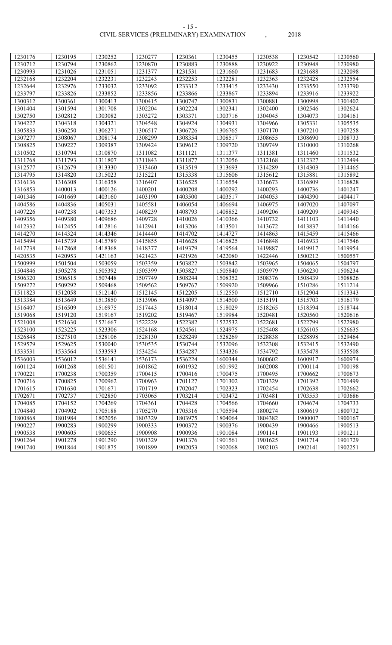| 1230176 | 1230195 | 1230252 | 1230277 | 1230361 | 1230455 | 1230538 | 1230542 | 1230560 |
|---------|---------|---------|---------|---------|---------|---------|---------|---------|
| 1230712 | 1230794 | 1230862 | 1230870 | 1230883 | 1230888 | 1230922 | 1230948 | 1230980 |
| 1230993 | 1231026 | 1231051 | 1231377 | 1231531 | 1231660 | 1231683 | 1231688 | 1232098 |
| 1232168 | 1232204 | 1232231 | 1232243 | 1232253 | 1232281 | 1232363 | 1232428 | 1232554 |
| 1232644 | 1232976 | 1233032 | 1233092 | 1233312 | 1233415 | 1233430 | 1233550 | 1233790 |
| 1233797 | 1233826 | 1233852 | 1233856 | 1233866 | 1233867 | 1233894 | 1233916 | 1233922 |
| 1300312 | 1300361 | 1300413 | 1300415 | 1300747 | 1300831 | 1300881 | 1300998 | 1301402 |
| 1301404 | 1301594 | 1301708 | 1302204 | 1302224 | 1302341 | 1302400 | 1302546 | 1302624 |
| 1302750 | 1302812 | 1303082 | 1303272 | 1303371 | 1303716 | 1304045 | 1304073 | 1304161 |
| 1304227 | 1304318 | 1304321 | 1304548 | 1304924 | 1304931 | 1304966 | 1305331 | 1305535 |
| 1305833 | 1306250 | 1306271 | 1306517 | 1306726 | 1306765 | 1307170 | 1307210 | 1307258 |
| 1307277 | 1308067 | 1308174 | 1308299 | 1308354 | 1308517 | 1308655 | 1308690 | 1308733 |
| 1308825 | 1309227 | 1309387 | 1309424 | 1309612 | 1309720 | 1309749 | 1310000 | 1310268 |
| 1310502 | 1310794 | 1310870 | 1311082 | 1311121 | 1311377 | 1311381 | 1311460 | 1311532 |
| 1311768 | 1311793 | 1311807 | 1311843 | 1311877 | 1312056 | 1312168 | 1312327 | 1312494 |
| 1312577 | 1312679 | 1313330 | 1313460 | 1313519 | 1313693 | 1314289 | 1314303 | 1314465 |
| 1314795 | 1314820 | 1315023 | 1315221 | 1315338 | 1315606 | 1315612 | 1315881 | 1315892 |
| 1316136 | 1316308 | 1316358 | 1316407 | 1316525 | 1316554 | 1316673 | 1316809 | 1316828 |
| 1316853 | 1400013 | 1400126 | 1400201 | 1400208 | 1400292 | 1400293 | 1400736 | 1401247 |
| 1401346 | 1401669 | 1403160 | 1403190 | 1403500 | 1403517 | 1404053 | 1404390 | 1404417 |
| 1404586 | 1404836 | 1405031 | 1405581 | 1406054 | 1406694 | 1406975 | 1407020 | 1407097 |
| 1407226 | 1407238 | 1407353 | 1408239 | 1408793 | 1408852 | 1409206 | 1409209 | 1409345 |
| 1409356 | 1409380 | 1409686 | 1409728 | 1410026 | 1410366 | 1410732 | 1411103 | 1411440 |
| 1412332 | 1412455 | 1412816 | 1412941 | 1413206 | 1413501 | 1413672 | 1413837 | 1414166 |
| 1414270 | 1414324 | 1414346 | 1414440 | 1414702 | 1414727 | 1414863 | 1415459 | 1415466 |
| 1415494 | 1415739 | 1415789 | 1415855 | 1416628 | 1416825 | 1416848 | 1416933 | 1417546 |
| 1417738 | 1417868 | 1418368 | 1418377 | 1419379 | 1419564 | 1419887 | 1419917 | 1419954 |
| 1420535 | 1420953 | 1421163 | 1421423 | 1421926 | 1422080 | 1422446 | 1500212 | 1500557 |
| 1500999 | 1501504 | 1503059 | 1503359 | 1503822 | 1503842 | 1503965 | 1504065 | 1504797 |
| 1504846 | 1505278 | 1505392 | 1505399 | 1505827 | 1505840 | 1505979 | 1506230 | 1506234 |
| 1506320 | 1506515 | 1507448 | 1507749 | 1508244 | 1508352 | 1508376 | 1508439 | 1508826 |
| 1509272 | 1509292 | 1509468 | 1509562 | 1509767 | 1509920 | 1509966 | 1510286 | 1511214 |
| 1511823 | 1512058 | 1512140 | 1512145 | 1512205 | 1512550 | 1512710 | 1512904 | 1513343 |
| 1513384 | 1513649 | 1513850 | 1513906 | 1514097 | 1514500 | 1515191 | 1515703 | 1516179 |
| 1516407 | 1516509 | 1516975 | 1517443 | 1518014 | 1518029 | 1518265 | 1518594 | 1518744 |
| 1519068 | 1519120 | 1519167 | 1519202 | 1519467 | 1519984 | 1520481 | 1520560 | 1520616 |
| 1521008 | 1521630 | 1521667 | 1522229 | 1522382 | 1522532 | 1522681 | 1522799 | 1522980 |
| 1523100 | 1523225 | 1523306 | 1524168 | 1524561 | 1524975 | 1525408 | 1526105 | 1526635 |
| 1526848 | 1527510 | 1528106 | 1528130 | 1528249 | 1528269 | 1528838 | 1528898 | 1529464 |
| 1529579 | 1529625 | 1530040 | 1530535 | 1530744 | 1532096 | 1532308 | 1532415 | 1532490 |
| 1533531 | 1533564 | 1533593 | 1534254 | 1534287 | 1534326 | 1534792 | 1535478 | 1535508 |
| 1536003 | 1536012 | 1536141 | 1536173 | 1536224 | 1600344 | 1600602 | 1600917 | 1600974 |
| 1601124 | 1601268 | 1601501 | 1601862 | 1601932 | 1601992 | 1602008 | 1700114 | 1700198 |
| 1700221 | 1700238 | 1700359 | 1700415 | 1700416 | 1700475 | 1700495 | 1700662 | 1700673 |
| 1700716 | 1700825 | 1700962 | 1700963 | 1701127 | 1701302 | 1701329 | 1701392 | 1701499 |
| 1701615 | 1701630 | 1701671 | 1701719 | 1702047 | 1702323 | 1702454 | 1702638 | 1702662 |
| 1702671 | 1702737 | 1702850 | 1703065 | 1703214 | 1703472 | 1703481 | 1703553 | 1703686 |
| 1704085 | 1704152 | 1704269 | 1704361 | 1704428 | 1704566 | 1704660 | 1704674 | 1704733 |
| 1704840 | 1704902 | 1705188 | 1705270 | 1705316 | 1705594 | 1800274 | 1800619 | 1800732 |
| 1800868 | 1801984 | 1802056 | 1803329 | 1803975 | 1804064 | 1804382 | 1900007 | 1900167 |
| 1900227 | 1900283 | 1900299 | 1900333 | 1900372 | 1900376 | 1900439 | 1900466 | 1900513 |
| 1900538 | 1900605 | 1900655 | 1900908 | 1900936 | 1901084 | 1901141 | 1901193 | 1901211 |
| 1901264 | 1901278 | 1901290 | 1901329 | 1901376 | 1901561 | 1901625 | 1901714 | 1901729 |
| 1901740 | 1901844 | 1901875 | 1901899 | 1902053 | 1902068 | 1902103 | 1902141 | 1902251 |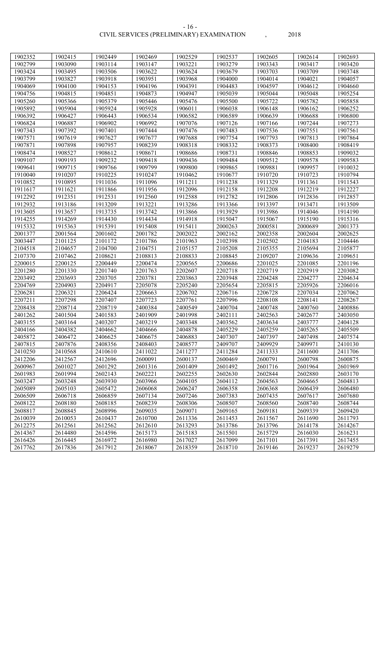| 1902352 | 1902415 | 1902449 | 1902469 | 1902529 | 1902537 | 1902605 | 1902614 | 1902693            |
|---------|---------|---------|---------|---------|---------|---------|---------|--------------------|
| 1902799 | 1903090 | 1903114 | 1903147 | 1903221 | 1903279 | 1903343 | 1903417 | 1903420            |
| 1903424 | 1903495 | 1903506 | 1903622 | 1903624 | 1903679 | 1903703 | 1903709 | 1903748            |
| 1903799 | 1903827 | 1903918 | 1903951 | 1903968 | 1904000 | 1904014 | 1904021 | 1904057            |
| 1904069 | 1904100 | 1904153 | 1904196 | 1904391 | 1904483 | 1904597 | 1904612 | 1904660            |
| 1904756 | 1904815 | 1904851 | 1904873 | 1904947 | 1905039 | 1905044 | 1905048 | 1905254            |
| 1905260 | 1905366 | 1905379 | 1905446 | 1905476 | 1905500 | 1905722 | 1905782 | 1905858            |
| 1905892 | 1905904 | 1905924 | 1905928 | 1906011 | 1906038 | 1906148 | 1906162 | 1906252            |
| 1906392 | 1906427 | 1906443 | 1906534 | 1906582 | 1906589 | 1906639 | 1906688 | 1906800            |
| 1906824 | 1906887 | 1906902 | 1906992 | 1907076 | 1907126 | 1907166 | 1907244 | 1907273            |
| 1907343 | 1907392 | 1907401 | 1907444 | 1907476 | 1907483 | 1907536 | 1907551 | 1907561            |
| 1907571 | 1907619 | 1907627 | 1907677 | 1907688 | 1907754 | 1907793 | 1907813 | 1907864            |
| 1907871 | 1907898 | 1907957 | 1908239 | 1908318 | 1908332 | 1908373 | 1908400 | 1908419            |
| 1908474 | 1908527 | 1908612 | 1908671 | 1908686 | 1908731 | 1908846 | 1908853 | 1909032            |
| 1909107 | 1909193 | 1909232 | 1909418 | 1909436 | 1909484 | 1909512 | 1909578 | 1909583            |
| 1909641 | 1909715 | 1909766 | 1909799 | 1909800 | 1909865 | 1909881 | 1909957 | 1910032            |
| 1910040 | 1910207 | 1910225 | 1910247 | 1910462 | 1910677 | 1910720 | 1910723 | 1910794            |
| 1910852 | 1910895 | 1911036 | 1911096 | 1911211 | 1911238 | 1911329 | 1911361 | 1911543            |
| 1911617 | 1911621 | 1911866 | 1911956 | 1912096 | 1912158 | 1912208 | 1912219 | 1912227            |
| 1912292 | 1912351 | 1912531 | 1912560 | 1912588 | 1912782 | 1912806 | 1912836 | 1912857            |
| 1912932 | 1913186 | 1913209 | 1913221 | 1913286 | 1913366 | 1913397 | 1913471 | 1913509            |
| 1913605 | 1913657 | 1913735 | 1913742 | 1913866 | 1913929 | 1913986 | 1914046 | 1914190            |
| 1914255 | 1914269 | 1914430 | 1914434 | 1914918 | 1915047 | 1915067 | 1915190 | 1915316            |
| 1915332 | 1915363 | 1915391 | 1915408 | 1915411 | 2000263 | 2000581 | 2000689 | 2001373            |
| 2001377 | 2001564 | 2001602 | 2001782 | 2002022 | 2002162 | 2002358 | 2002604 | 2002625            |
| 2003447 | 2101125 | 2101172 | 2101786 | 2101963 | 2102398 | 2102502 | 2104183 | 2104446            |
| 2104518 | 2104657 | 2104700 | 2104751 | 2105157 | 2105208 | 2105355 | 2105694 | 2105877            |
| 2107370 | 2107462 | 2108621 | 2108813 | 2108833 | 2108845 | 2109207 | 2109636 | 2109651            |
| 2200015 | 2200125 | 2200449 | 2200474 | 2200565 | 2200686 | 2201025 | 2201085 | 2201196            |
| 2201280 | 2201330 | 2201740 | 2201763 | 2202607 | 2202718 | 2202719 | 2202919 | 2203082            |
| 2203492 | 2203693 | 2203705 | 2203781 | 2203863 | 2203948 | 2204248 | 2204277 | 2204634            |
| 2204769 | 2204903 | 2204917 | 2205078 | 2205240 | 2205654 | 2205815 | 2205926 | 2206016            |
| 2206281 | 2206321 | 2206424 | 2206663 | 2206702 | 2206716 | 2206728 | 2207034 | 2207062            |
| 2207211 | 2207298 | 2207407 | 2207723 | 2207761 | 2207996 | 2208108 | 2208141 | 2208267            |
| 2208438 | 2208714 | 2208719 | 2400384 | 2400549 | 2400704 | 2400748 | 2400760 | 2400886            |
| 2401262 | 2401504 | 2401583 | 2401909 | 2401998 | 2402111 | 2402563 | 2402677 | 2403050            |
| 2403155 | 2403164 | 2403207 | 2403219 | 2403348 | 2403562 | 2403634 | 2403777 | 2404128            |
| 2404166 | 2404382 | 2404662 | 2404666 | 2404878 | 2405229 | 2405259 | 2405265 | 2405509            |
| 2405872 | 2406472 | 2406625 | 2406675 | 2406883 | 2407307 | 2407397 | 2407498 | 2407574            |
| 2407815 | 2407876 | 2408356 | 2408403 | 2408577 | 2409707 | 2409929 | 2409971 | 2410130            |
| 2410250 | 2410568 | 2410610 | 2411022 | 2411277 | 2411284 | 2411333 | 2411600 | 2411706            |
| 2412206 | 2412567 | 2412696 | 2600091 | 2600137 | 2600469 | 2600791 | 2600798 | 2600875            |
| 2600967 | 2601027 | 2601292 | 2601316 | 2601409 | 2601492 | 2601716 | 2601964 | 2601969            |
| 2601983 | 2601994 | 2602143 | 2602221 | 2602255 | 2602630 | 2602844 | 2602880 | 2603170            |
| 2603247 | 2603248 | 2603930 | 2603966 | 2604105 | 2604112 | 2604563 | 2604665 | 2604813            |
| 2605089 | 2605103 | 2605472 | 2606068 | 2606247 | 2606358 | 2606368 | 2606439 | 2606480            |
| 2606509 | 2606718 | 2606859 | 2607134 | 2607246 | 2607383 | 2607435 | 2607617 | 2607680            |
| 2608122 | 2608180 | 2608185 | 2608239 | 2608306 | 2608507 | 2608560 | 2608740 | 2608744            |
| 2608817 | 2608845 | 2608996 | 2609035 | 2609071 | 2609165 | 2609181 | 2609339 | 2609420            |
| 2610039 | 2610053 | 2610437 | 2610700 | 2611336 | 2611453 | 2611567 | 2611690 | 2611793            |
| 2612275 | 2612561 | 2612562 | 2612610 | 2613293 | 2613786 | 2613796 | 2614178 | 2614267<br>2616231 |
| 2614367 | 2614480 | 2614596 | 2615173 | 2615183 | 2615501 | 2615729 | 2616030 |                    |
| 2616426 | 2616445 | 2616972 | 2616980 | 2617027 | 2617099 | 2617101 | 2617391 | 2617455            |
| 2617762 | 2617836 | 2617912 | 2618067 | 2618359 | 2618710 | 2619146 | 2619237 | 2619279            |

- 16 -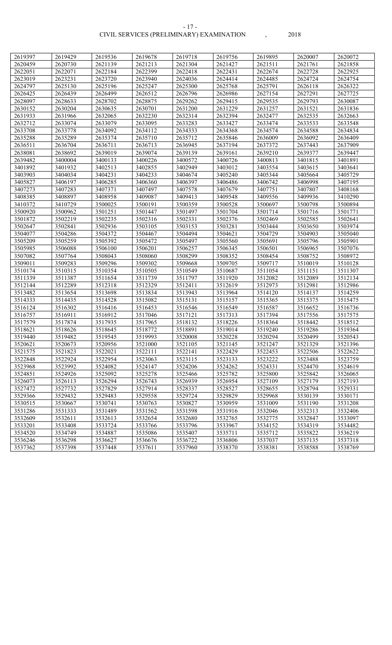| 2619397            | 2619429            | 2619536            | 2619678            | 2619718            | 2619756            | 2619895            | 2620007            | 2620072            |
|--------------------|--------------------|--------------------|--------------------|--------------------|--------------------|--------------------|--------------------|--------------------|
| 2620459            | 2620730            | 2621139            | 2621213            | 2621304            | 2621427            | 2621511            | 2621761            | 2621858            |
| 2622051            | 2622071            | 2622184            | 2622399            | 2622418            | 2622431            | 2622674            | 2622728            | 2622925            |
| 2623019            | 2623231            | 2623720            | 2623940            | 2624036            | 2624414            | 2624485            | 2624724            | 2624754            |
| 2624797            | 2625130            | 2625196            | 2625247            | 2625300            | 2625768            | 2625791            | 2626118            | 2626322            |
| 2626425            | 2626439            | 2626499            | 2626512            | 2626796            | 2626986            | 2627154            | 2627291            | 2627725            |
| 2628097            | 2628633            | 2628702            | 2628875            | 2629262            | 2629415            | 2629535            | 2629793            | 2630087            |
| 2630152            | 2630204            | 2630635            | 2630701            | 2631200            | 2631229            | 2631257            | 2631521            | 2631836            |
| 2631933            | 2631966            | 2632065            | 2632230            | 2632314            | 2632394            | 2632477            | 2632535            | 2632663            |
| 2632712            | 2633074            | 2633079            | 2633095            | 2633283            | 2633427            | 2633474            | 2633533            | 2633548            |
| 2633708            | 2633778            | 2634092            | 2634112            | 2634333            | 2634368            | 2634574            | 2634588            | 2634834            |
| 2635288            | 2635289            | 2635374            | 2635710            | 2635712            | 2635846            | 2636009            | 2636092            | 2636409            |
| 2636511            | 2636704            | 2636711            | 2636713            | 2636945            | 2637194            | 2637372            | 2637443            | 2637909            |
| 2638081            | 2638692            | 2639019            | 2639074            | 2639139            | 2639161            | 2639210            | 2639377            | 2639447            |
| 2639482            | 3400004            | 3400133            | 3400226            | 3400572            | 3400726            | 3400813            | 3401815            | 3401891            |
| 3401892            | 3401932            | 3402513            | 3402855            | 3402949            | 3403012            | 3403554            | 3403615            | 3403641            |
| 3403903            | 3404034            | 3404231            | 3404233            | 3404674            | 3405240            | 3405344            | 3405664            | 3405729            |
| 3405827            | 3406197            | 3406285            | 3406360            | 3406397            | 3406486            | 3406742            | 3406998            | 3407195            |
| 3407273            | 3407283            | 3407371            | 3407497            | 3407578            | 3407679            | 3407751            | 3407807            | 3408168            |
| 3408385            | 3408897            | 3408958            | 3409087            | 3409413            | 3409548            | 3409556            | 3409936            | 3410290            |
| 3410372            | 3410729            | 3500025            | 3500191            | 3500359            | 3500528            | 3500697            | 3500798            | 3500894            |
| 3500920            | 3500962            | 3501251            | 3501447            | 3501497            | 3501704            | 3501714            | 3501716            | 3501771            |
| 3501872            | 3502219            | 3502235            | 3502316            | 3502331            | 3502376            | 3502469            | 3502585            | 3502641            |
| 3502647            | 3502841            | 3502936            | 3503105            | 3503153            | 3503281            | 3503444            | 3503650            | 3503974            |
| 3504077            | 3504286            | 3504372            | 3504467            | 3504494            | 3504621            | 3504729            | 3504903            | 3505040            |
| 3505209            | 3505259            | 3505392            | 3505472            | 3505497            | 3505560            | 3505691            | 3505796            | 3505901            |
| 3505985            | 3506088            | 3506100            | 3506201            | 3506257            | 3506345            | 3506501            | 3506965            | 3507076            |
| 3507082            | 3507764            | 3508043            | 3508060            | 3508299            | 3508352            | 3508454            | 3508752            | 3508972            |
| 3509011            | 3509283            | 3509296            | 3509302            | 3509668            | 3509705            | 3509717            | 3510019            | 3510128            |
| 3510174            | 3510315            | 3510354            | 3510505            | 3510549            | 3510687            | 3511054            | 3511151            | 3511307            |
| 3511339            | 3511387            | 3511654            | 3511739            | 3511797            | 3511920            | 3512082            | 3512089            | 3512134            |
| 3512144            | 3512289            | 3512318            | 3512329            | 3512411            | 3512619            | 3512973            | 3512981            | 3512986            |
| 3513482            | 3513654            | 3513698            | 3513834            | 3513943            | 3513964            | 3514120            | 3514137            | 3514259            |
| 3514333            | 3514435            | 3514528            | 3515082            | 3515131            | 3515157            | 3515365            | 3515375            | 3515475            |
| 3516124            | 3516302            | 3516416            | 3516453            | 3516546            | 3516549            | 3516587            | 3516652            | 3516736            |
| 3516757            | 3516911            | 3516912            | 3517046            | 3517121            | 3517313            | 3517394            | 3517556            | 3517575            |
| 3517579            | 3517874            | 3517935            | 3517965            | 3518132            | 3518226            | 3518364            | 3518442            | 3518512            |
| 3518621            | 3518626            | 3518645            | 3518772            | 3518891            | 3519014            | 3519240            | 3519286            | 3519364            |
| 3519440            | 3519482            | 3519545            | 3519993            | 3520008            | 3520228            | 3520294            | 3520499            | 3520543            |
| 3520621            | 3520673            | 3520956            | 3521000            | 3521105            | 3521145            | 3521247            | 3521329            | 3521396            |
| 3521575            | 3521823            | 3522021            | 3522111            | 3522141            | 3522429            | 3522453            | 3522506            | 3522622            |
| 3522848            | 3522924            | 3522954            | 3523063            | 3523115            | 3523133            | 3523222            | 3523488            | 3523759            |
| 3523968            | 3523992            | 3524082            | 3524147            | 3524206            | 3524262            | 3524331            | 3524470            | 3524619            |
| 3524851            | 3524926            | 3525092            | 3525278            | 3525466            | 3525782            | 3525800            | 3525842            | 3526065            |
| 3526073            | 3526113            | 3526294            | 3526743            | 3526939            | 3526954            | 3527109            | 3527179            | 3527193            |
| 3527472            | 3527732            | 3527829            | 3527914            | 3528337            | 3528527            | 3528655            | 3528794            | 3529331            |
| 3529366            | 3529432            | 3529483            | 3529558            | 3529724            | 3529829            | 3529968            | 3530139            | 3530171            |
| 3530515            | 3530667            | 3530741            | 3530763            | 3530827            | 3530959            | 3531009            | 3531190            | 3531208            |
| 3531286            | 3531333            | 3531489            | 3531562            | 3531598            | 3531916            | 3532046            | 3532313<br>3532847 | 3532406            |
| 3532609            | 3532611            | 3532613            | 3532654<br>3533766 | 3532680            | 3532765            | 3532775            |                    | 3533097            |
| 3533201<br>3534520 | 3533408<br>3534749 | 3533724<br>3534887 | 3535086            | 3533796<br>3535407 | 3533967<br>3535711 | 3534152<br>3535712 | 3534319<br>3535822 | 3534482<br>3536219 |
| 3536246            | 3536298            | 3536627            | 3536676            | 3536722            | 3536806            | 3537037            | 3537135            | 3537318            |
| 3537362            | 3537398            | 3537448            | 3537611            | 3537960            | 3538370            | 3538381            | 3538588            | 3538769            |
|                    |                    |                    |                    |                    |                    |                    |                    |                    |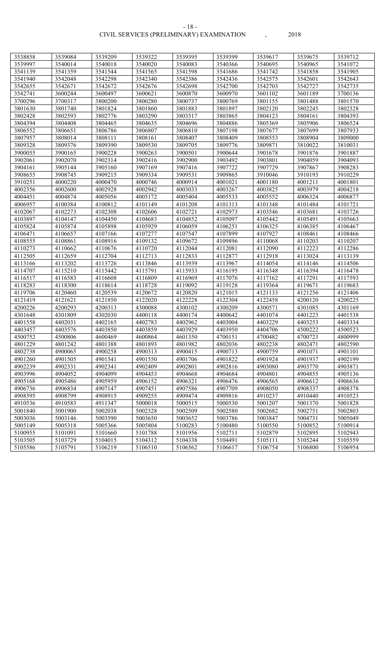#### CIVIL SERVICES (PRELIMINARY) EXAMINATION , 2018 - 18 -

| 3538858 | 3539084 | 3539209 | 3539322 | 3539395 | 3539399 | 3539617 | 3539675 | 3539712 |
|---------|---------|---------|---------|---------|---------|---------|---------|---------|
| 3539997 | 3540014 | 3540018 | 3540020 | 3540083 | 3540366 | 3540695 | 3540965 | 3541072 |
| 3541139 | 3541359 | 3541544 | 3541565 | 3541598 | 3541686 | 3541742 | 3541858 | 3541905 |
| 3541940 | 3542048 | 3542298 | 3542340 | 3542386 | 3542436 | 3542575 | 3542601 | 3542643 |
| 3542655 | 3542671 | 3542672 | 3542676 | 3542698 | 3542700 | 3542703 | 3542727 | 3542735 |
| 3542741 | 3600244 | 3600497 | 3600621 | 3600870 | 3600970 | 3601102 | 3601189 | 3700136 |
| 3700296 | 3700317 | 3800200 | 3800280 | 3800737 | 3800769 | 3801155 | 3801488 | 3801570 |
| 3801630 | 3801740 | 3801824 | 3801860 | 3801883 | 3801897 | 3802120 | 3802245 | 3802328 |
| 3802428 | 3802593 | 3802776 | 3803290 | 3803517 | 3803865 | 3804123 | 3804161 | 3804393 |
| 3804394 | 3804408 | 3804465 | 3804635 | 3804696 | 3804886 | 3805369 | 3805906 | 3806524 |
| 3806552 | 3806651 | 3806786 | 3806807 | 3806810 | 3807198 | 3807677 | 3807699 | 3807933 |
| 3807957 | 3808014 | 3808111 | 3808161 | 3808407 | 3808409 | 3808553 | 3808904 | 3809000 |
| 3809328 | 3809376 | 3809390 | 3809530 | 3809705 | 3809776 | 3809871 | 3810022 | 3810031 |
| 3900055 | 3900165 | 3900228 | 3900263 | 3900501 | 3900644 | 3901678 | 3901876 | 3901887 |
| 3902061 | 3902070 | 3902314 | 3902416 | 3902900 | 3903492 | 3903801 | 3904059 | 3904093 |
| 3904161 | 3905144 | 3905160 | 3907169 | 3907416 | 3907722 | 3907729 | 3907867 | 3908283 |
| 3908655 | 3908745 | 3909215 | 3909334 | 3909531 | 3909865 | 3910046 | 3910193 | 3910229 |
| 3910251 | 4000220 | 4000470 | 4000746 | 4000914 | 4001021 | 4001180 | 4001211 | 4001801 |
| 4002356 | 4002600 | 4002928 | 4002942 | 4003033 | 4003267 | 4003825 | 4003979 | 4004218 |
| 4004451 | 4004874 | 4005056 | 4005172 | 4005404 | 4005533 | 4005552 | 4006324 | 4006877 |
| 4006957 | 4100384 | 4100812 | 4101149 | 4101208 | 4101313 | 4101348 | 4101484 | 4101721 |
| 4102067 | 4102273 | 4102308 | 4102606 | 4102721 | 4102973 | 4103546 | 4103681 | 4103726 |
| 4103897 | 4104147 | 4104450 | 4104683 | 4104852 | 4105097 | 4105442 | 4105491 | 4105663 |
| 4105824 | 4105874 | 4105898 | 4105929 | 4106059 | 4106251 | 4106325 | 4106385 | 4106467 |
| 4106471 | 4106657 | 4107166 | 4107277 | 4107547 | 4107899 | 4107927 | 4108461 | 4108466 |
| 4108555 | 4108861 | 4108916 | 4109132 | 4109672 | 4109896 | 4110068 | 4110203 | 4110207 |
| 4110273 | 4110662 | 4110676 | 4110720 | 4112044 | 4112081 | 4112090 | 4112223 | 4112286 |
| 4112505 | 4112659 | 4112704 | 4112713 | 4112833 | 4112877 | 4112918 | 4113024 | 4113139 |
| 4113166 | 4113202 | 4113726 | 4113846 | 4113939 | 4113967 | 4114054 | 4114146 | 4114506 |
| 4114707 | 4115210 | 4115442 | 4115791 | 4115933 | 4116195 | 4116348 | 4116394 | 4116478 |
| 4116517 | 4116583 | 4116608 | 4116809 | 4116969 | 4117076 | 4117162 | 4117291 | 4117593 |
| 4118283 | 4118300 | 4118614 | 4118728 | 4119092 | 4119128 | 4119364 | 4119671 | 4119683 |
| 4119706 | 4120460 | 4120539 | 4120672 | 4120820 | 4121015 | 4121133 | 4121256 | 4121406 |
| 4121419 | 4121621 | 4121850 | 4122020 | 4122228 | 4122304 | 4122458 | 4200120 | 4200225 |
| 4200226 | 4200293 | 4200313 | 4300088 | 4300102 | 4300209 | 4300571 | 4301085 | 4301169 |
| 4301648 | 4301809 | 4302030 | 4400118 | 4400174 | 4400642 | 4401074 | 4401223 | 4401538 |
| 4401558 | 4402031 | 4402165 | 4402783 | 4402962 | 4403004 | 4403229 | 4403253 | 4403334 |
| 4403457 | 4403576 | 4403850 | 4403859 | 4403929 | 4403950 | 4404706 | 4500222 | 4500523 |
| 4500752 | 4500806 | 4600469 | 4600864 | 4601350 | 4700151 | 4700482 | 4700723 | 4800999 |
| 4801229 | 4801242 | 4801388 | 4801893 | 4801982 | 4802036 | 4802238 | 4802471 | 4802590 |
| 4802738 | 4900065 | 4900258 | 4900313 | 4900415 | 4900713 | 4900759 | 4901071 | 4901101 |
| 4901260 | 4901505 | 4901541 | 4901550 | 4901706 | 4901822 | 4901924 | 4901937 | 4902199 |
| 4902239 | 4902331 | 4902341 | 4902409 | 4902801 | 4902816 | 4903080 | 4903770 | 4903871 |
| 4903996 | 4904052 | 4904099 | 4904453 | 4904668 | 4904684 | 4904801 | 4904855 | 4905136 |
| 4905168 | 4905486 | 4905959 | 4906152 | 4906321 | 4906476 | 4906565 | 4906612 | 4906636 |
| 4906736 | 4906834 | 4907147 | 4907451 | 4907586 | 4907709 | 4908050 | 4908337 | 4908378 |
| 4908595 | 4908799 | 4908915 | 4909255 | 4909474 | 4909816 | 4910237 | 4910440 | 4910523 |
| 4910536 | 4910583 | 4911347 | 5000018 | 5000515 | 5000530 | 5001207 | 5001370 | 5001828 |
| 5001840 | 5001900 | 5002038 | 5002328 | 5002509 | 5002580 | 5002682 | 5002751 | 5002803 |
| 5003036 | 5003146 | 5003590 | 5003650 | 5003652 | 5003786 | 5003847 | 5004731 | 5005049 |
| 5005149 | 5005318 | 5005366 | 5005804 | 5100283 | 5100480 | 5100550 | 5100852 | 5100914 |
| 5100955 | 5101091 | 5101660 | 5101788 | 5101956 | 5102711 | 5102879 | 5102895 | 5102943 |
| 5103505 | 5103729 | 5104015 | 5104312 | 5104338 | 5104491 | 5105111 | 5105244 | 5105559 |
| 5105586 | 5105791 | 5106219 | 5106510 | 5106562 | 5106617 | 5106754 | 5106800 | 5106954 |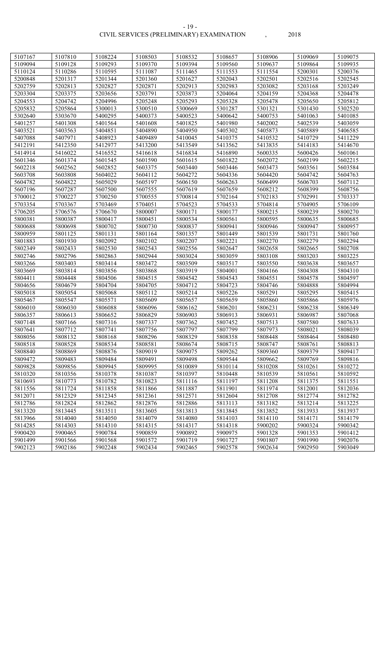#### CIVIL SERVICES (PRELIMINARY) EXAMINATION , 2018 - 19 -

| 5107167 | 5107810 | 5108224 | 5108503 | 5108532 | 5108657 | 5108906 | 5109069 | 5109075 |
|---------|---------|---------|---------|---------|---------|---------|---------|---------|
| 5109094 | 5109128 | 5109293 | 5109370 | 5109394 | 5109560 | 5109637 | 5109864 | 5109935 |
| 5110124 | 5110286 | 5110595 | 5111087 | 5111465 | 5111553 | 5111554 | 5200301 | 5200376 |
| 5200848 | 5201317 | 5201344 | 5201360 | 5201627 | 5202043 | 5202501 | 5202516 | 5202545 |
| 5202759 | 5202813 | 5202827 | 5202871 | 5202913 | 5202983 | 5203082 | 5203168 | 5203249 |
| 5203304 | 5203375 | 5203656 | 5203791 | 5203873 | 5204064 | 5204159 | 5204368 | 5204478 |
| 5204553 | 5204742 | 5204996 | 5205248 | 5205293 | 5205328 | 5205478 | 5205650 | 5205812 |
| 5205832 | 5205864 | 5300013 | 5300510 | 5300669 | 5301287 | 5301321 | 5301430 | 5302520 |
| 5302640 | 5303670 | 5400295 | 5400373 | 5400523 | 5400642 | 5400753 | 5401063 | 5401085 |
| 5401257 | 5401308 | 5401564 | 5401608 | 5401825 | 5401980 | 5402002 | 5402539 | 5403059 |
| 5403521 | 5403563 | 5404851 | 5404890 | 5404950 | 5405302 | 5405873 | 5405889 | 5406585 |
| 5407088 | 5407971 | 5408923 | 5409489 | 5410045 | 5410375 | 5410532 | 5410729 | 5411229 |
| 5412191 | 5412350 | 5412977 | 5413200 | 5413549 | 5413562 | 5413835 | 5414183 | 5414670 |
| 5414914 | 5416022 | 5416552 | 5416618 | 5416834 | 5416890 | 5600335 | 5600426 | 5601061 |
| 5601346 | 5601374 | 5601545 | 5601590 | 5601615 | 5601822 | 5602072 | 5602199 | 5602215 |
| 5602218 | 5602562 | 5602852 | 5603375 | 5603440 | 5603446 | 5603473 | 5603561 | 5603584 |
| 5603708 | 5603808 | 5604022 | 5604112 | 5604272 | 5604336 | 5604420 | 5604742 | 5604763 |
| 5604782 | 5604822 | 5605029 | 5605197 | 5606150 | 5606263 | 5606499 | 5606703 | 5607112 |
| 5607196 | 5607287 | 5607500 | 5607555 | 5607619 | 5607659 | 5608212 | 5608399 | 5608756 |
| 5700012 | 5700227 | 5700250 | 5700555 | 5700814 | 5702164 | 5702183 | 5702991 | 5703337 |
| 5703354 | 5703367 | 5703469 | 5704051 | 5704523 | 5704533 | 5704814 | 5704905 | 5706109 |
| 5706205 | 5706576 | 5706670 | 5800007 | 5800171 | 5800177 | 5800215 | 5800239 | 5800270 |
| 5800381 | 5800387 | 5800417 | 5800451 | 5800534 | 5800561 | 5800595 | 5800635 | 5800685 |
| 5800688 | 5800698 | 5800702 | 5800730 | 5800837 | 5800941 | 5800946 | 5800947 | 5800957 |
| 5800959 | 5801125 | 5801131 | 5801164 | 5801357 | 5801449 | 5801539 | 5801731 | 5801760 |
| 5801883 | 5801930 | 5802092 | 5802102 | 5802207 | 5802221 | 5802270 | 5802279 | 5802294 |
| 5802349 | 5802433 | 5802530 | 5802543 | 5802556 | 5802647 | 5802658 | 5802665 | 5802708 |
| 5802746 | 5802796 | 5802863 | 5802944 | 5803024 | 5803059 | 5803108 | 5803203 | 5803225 |
| 5803266 | 5803403 | 5803414 | 5803472 | 5803509 | 5803517 | 5803550 | 5803638 | 5803657 |
| 5803669 | 5803814 | 5803856 | 5803868 | 5803919 | 5804001 | 5804166 | 5804308 | 5804310 |
| 5804411 | 5804448 | 5804506 | 5804515 | 5804542 | 5804543 | 5804551 | 5804578 | 5804597 |
| 5804656 | 5804679 | 5804704 | 5804705 | 5804712 | 5804723 | 5804746 | 5804888 | 5804994 |
| 5805018 | 5805054 | 5805068 | 5805112 | 5805214 | 5805226 | 5805291 | 5805295 | 5805415 |
| 5805467 | 5805547 | 5805571 | 5805609 | 5805657 | 5805659 | 5805860 | 5805866 | 5805976 |
| 5806010 | 5806030 | 5806088 | 5806096 | 5806162 | 5806201 | 5806231 | 5806238 | 5806349 |
| 5806357 | 5806613 | 5806652 | 5806829 | 5806903 | 5806913 | 5806931 | 5806987 | 5807068 |
| 5807148 | 5807166 | 5807316 | 5807337 | 5807362 | 5807452 | 5807513 | 5807580 | 5807633 |
| 5807641 | 5807712 | 5807741 | 5807756 | 5807797 | 5807799 | 5807973 | 5808021 | 5808039 |
| 5808056 | 5808132 | 5808168 | 5808296 | 5808329 | 5808358 | 5808448 | 5808464 | 5808480 |
| 5808518 | 5808528 | 5808534 | 5808581 | 5808674 | 5808715 | 5808747 | 5808761 | 5808813 |
| 5808840 | 5808869 | 5808876 | 5809019 | 5809075 | 5809262 | 5809360 | 5809379 | 5809417 |
| 5809472 | 5809483 | 5809484 | 5809491 | 5809498 | 5809544 | 5809662 | 5809769 | 5809816 |
| 5809828 | 5809856 | 5809945 | 5809995 | 5810089 | 5810114 | 5810208 | 5810261 | 5810272 |
| 5810320 | 5810356 | 5810378 | 5810387 | 5810397 | 5810448 | 5810539 | 5810561 | 5810592 |
| 5810693 | 5810773 | 5810782 | 5810823 | 5811116 | 5811197 | 5811208 | 5811375 | 5811551 |
| 5811556 | 5811724 | 5811858 | 5811866 | 5811887 | 5811901 | 5811974 | 5812001 | 5812036 |
| 5812071 | 5812329 | 5812345 | 5812361 | 5812571 | 5812604 | 5812708 | 5812774 | 5812782 |
| 5812786 | 5812824 | 5812862 | 5812876 | 5812886 | 5813113 | 5813182 | 5813214 | 5813225 |
| 5813320 | 5813445 | 5813511 | 5813605 | 5813813 | 5813845 | 5813852 | 5813933 | 5813937 |
| 5813966 | 5814040 | 5814050 | 5814079 | 5814080 | 5814103 | 5814110 | 5814171 | 5814179 |
| 5814285 | 5814303 | 5814310 | 5814315 | 5814317 | 5814318 | 5900202 | 5900324 | 5900342 |
| 5900420 | 5900465 | 5900784 | 5900859 | 5900892 | 5900975 | 5901328 | 5901353 | 5901412 |
| 5901499 | 5901566 | 5901568 | 5901572 | 5901719 | 5901727 | 5901807 | 5901990 | 5902076 |
| 5902123 | 5902186 | 5902248 | 5902434 | 5902465 | 5902578 | 5902634 | 5902950 | 5903049 |
|         |         |         |         |         |         |         |         |         |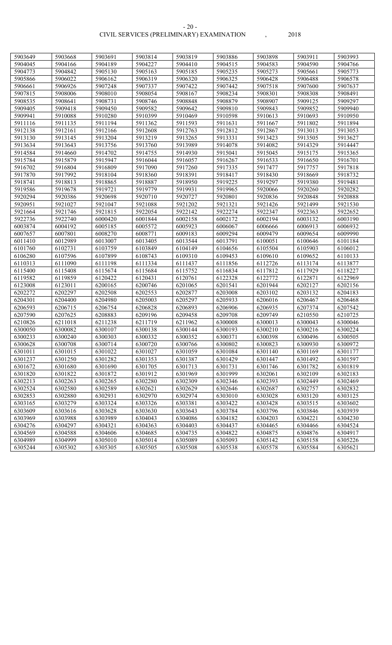#### CIVIL SERVICES (PRELIMINARY) EXAMINATION , 2018 - 20 -

| 5903649 | 5903668 | 5903691 | 5903814 | 5903819 | 5903886 | 5903898 | 5903911 | 5903993 |
|---------|---------|---------|---------|---------|---------|---------|---------|---------|
| 5904045 | 5904166 | 5904189 | 5904227 | 5904410 | 5904515 | 5904583 | 5904590 | 5904766 |
| 5904773 | 5904842 | 5905130 | 5905163 | 5905185 | 5905235 | 5905273 | 5905661 | 5905773 |
| 5905866 | 5906022 | 5906162 | 5906319 | 5906320 | 5906325 | 5906428 | 5906488 | 5906578 |
| 5906661 | 5906926 | 5907248 | 5907337 | 5907422 | 5907442 | 5907518 | 5907600 | 5907637 |
| 5907815 | 5908006 | 5908010 | 5908054 | 5908167 | 5908234 | 5908301 | 5908308 | 5908491 |
| 5908535 | 5908641 | 5908731 | 5908746 | 5908848 | 5908879 | 5908907 | 5909125 | 5909297 |
| 5909405 | 5909418 | 5909450 | 5909582 | 5909642 | 5909810 | 5909843 | 5909852 | 5909940 |
| 5909941 | 5910088 | 5910280 | 5910399 | 5910469 | 5910598 | 5910613 | 5910693 | 5910950 |
| 5911116 | 5911135 | 5911194 | 5911362 | 5911593 | 5911631 | 5911667 | 5911802 | 5911894 |
| 5912138 | 5912161 | 5912166 | 5912608 | 5912763 | 5912812 | 5912867 | 5913013 | 5913053 |
| 5913130 | 5913145 | 5913204 | 5913219 | 5913265 | 5913331 | 5913423 | 5913505 | 5913627 |
| 5913634 | 5913643 | 5913756 | 5913760 | 5913989 | 5914078 | 5914082 | 5914329 | 5914447 |
| 5914584 | 5914660 | 5914702 | 5914755 | 5914930 | 5915041 | 5915045 | 5915175 | 5915365 |
| 5915784 | 5915879 | 5915947 | 5916044 | 5916057 | 5916267 | 5916533 | 5916650 | 5916701 |
| 5916702 | 5916804 | 5916809 | 5917090 | 5917260 | 5917335 | 5917477 | 5917757 | 5917818 |
| 5917870 | 5917992 | 5918104 | 5918360 | 5918391 | 5918417 | 5918430 | 5918669 | 5918732 |
| 5918741 | 5918813 | 5918865 | 5918887 | 5918950 | 5919225 | 5919297 | 5919380 | 5919481 |
| 5919586 | 5919678 | 5919721 | 5919779 | 5919931 | 5919965 | 5920066 | 5920260 | 5920282 |
| 5920294 | 5920386 | 5920698 | 5920710 | 5920727 | 5920801 | 5920836 | 5920848 | 5920888 |
| 5920951 | 5921027 | 5921047 | 5921088 | 5921202 | 5921321 | 5921426 | 5921499 | 5921530 |
| 5921664 | 5921746 | 5921815 | 5922054 | 5922142 | 5922274 | 5922347 | 5922363 | 5922652 |
| 5922736 | 5922740 | 6000420 | 6001844 | 6002158 | 6002172 | 6002194 | 6003132 | 6003190 |
| 6003874 | 6004192 | 6005185 | 6005572 | 6005923 | 6006067 | 6006666 | 6006913 | 6006932 |
| 6007657 | 6007801 | 6008270 | 6008771 | 6009183 | 6009294 | 6009479 | 6009654 | 6009990 |
| 6011410 | 6012989 | 6013007 | 6013405 | 6013544 | 6013791 | 6100051 | 6100646 | 6101184 |
| 6101760 | 6102731 | 6103759 | 6103849 | 6104149 | 6104656 | 6105504 | 6105903 | 6106012 |
| 6106280 | 6107596 | 6107899 | 6108743 | 6109310 | 6109453 | 6109610 | 6109652 | 6110133 |
| 6110313 | 6111090 | 6111198 | 6111334 | 6111437 | 6111856 | 6112726 | 6113174 | 6113877 |
| 6115400 | 6115408 | 6115674 | 6115684 | 6115752 | 6116834 | 6117812 | 6117929 | 6118227 |
| 6119582 | 6119859 | 6120422 | 6120431 | 6120761 | 6122328 | 6122772 | 6122871 | 6122969 |
| 6123008 | 6123011 | 6200165 | 6200746 | 6201065 | 6201541 | 6201944 | 6202127 | 6202156 |
| 6202272 | 6202297 | 6202508 | 6202553 | 6202877 | 6203008 | 6203102 | 6203132 | 6204183 |
| 6204301 | 6204400 | 6204980 | 6205003 | 6205297 | 6205933 | 6206016 | 6206467 | 6206468 |
| 6206593 | 6206715 | 6206754 | 6206828 | 6206893 | 6206906 | 6206935 | 6207374 | 6207542 |
| 6207590 | 6207625 | 6208883 | 6209196 | 6209458 | 6209708 | 6209749 | 6210550 | 6210725 |
| 6210826 | 6211018 | 6211238 | 6211719 | 6211962 | 6300008 | 6300013 | 6300043 | 6300046 |
| 6300050 | 6300082 | 6300107 | 6300138 | 6300144 | 6300193 | 6300210 | 6300216 | 6300224 |
| 6300233 | 6300240 | 6300303 | 6300332 | 6300352 | 6300371 | 6300398 | 6300496 | 6300505 |
| 6300628 | 6300708 | 6300714 | 6300720 | 6300766 | 6300802 | 6300823 | 6300930 | 6300972 |
| 6301011 | 6301015 | 6301022 | 6301027 | 6301059 | 6301084 | 6301140 | 6301169 | 6301177 |
| 6301237 | 6301250 | 6301282 | 6301353 | 6301387 | 6301429 | 6301447 | 6301492 | 6301597 |
| 6301672 | 6301680 | 6301690 | 6301705 | 6301713 | 6301731 | 6301746 | 6301782 | 6301819 |
| 6301820 | 6301822 | 6301872 | 6301912 | 6301969 | 6301999 | 6302061 | 6302109 | 6302183 |
| 6302213 | 6302263 | 6302265 | 6302280 | 6302309 | 6302346 | 6302393 | 6302449 | 6302469 |
| 6302524 | 6302580 | 6302589 | 6302621 | 6302629 | 6302646 | 6302687 | 6302757 | 6302832 |
| 6302853 | 6302880 | 6302931 | 6302970 | 6302974 | 6303010 | 6303028 | 6303120 | 6303125 |
| 6303165 | 6303279 | 6303324 | 6303326 | 6303381 | 6303422 | 6303428 | 6303515 | 6303602 |
| 6303609 | 6303616 | 6303628 | 6303630 | 6303643 | 6303784 | 6303796 | 6303846 | 6303939 |
| 6303969 | 6303988 | 6303989 | 6304043 | 6304086 | 6304182 | 6304203 | 6304221 | 6304230 |
| 6304276 | 6304297 | 6304321 | 6304363 | 6304403 | 6304437 | 6304465 | 6304466 | 6304524 |
| 6304569 | 6304588 | 6304606 | 6304685 | 6304735 | 6304822 | 6304875 | 6304876 | 6304917 |
| 6304989 | 6304999 | 6305010 | 6305014 | 6305089 | 6305093 | 6305142 | 6305158 | 6305226 |
| 6305244 | 6305302 | 6305305 | 6305505 | 6305508 | 6305538 | 6305578 | 6305584 | 6305621 |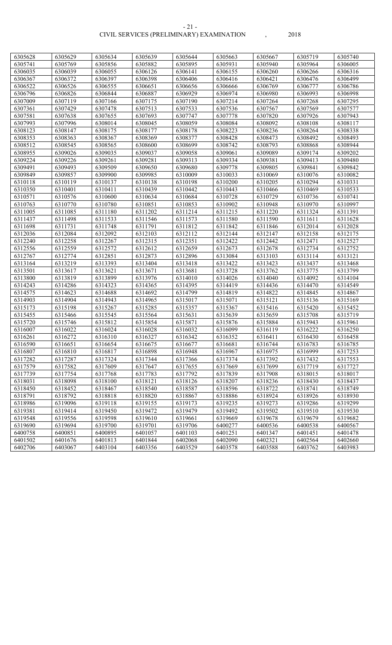| 6305628 | 6305629 | 6305634 | 6305639 | 6305644 | 6305663 | 6305667 | 6305719 | 6305740 |
|---------|---------|---------|---------|---------|---------|---------|---------|---------|
| 6305741 | 6305769 | 6305856 | 6305882 | 6305895 | 6305931 | 6305940 | 6305964 | 6306005 |
| 6306035 | 6306039 | 6306055 | 6306126 | 6306141 | 6306155 | 6306260 | 6306266 | 6306316 |
| 6306367 | 6306372 | 6306397 | 6306398 | 6306406 | 6306416 | 6306421 | 6306476 | 6306499 |
| 6306522 | 6306526 | 6306555 | 6306651 | 6306656 | 6306666 | 6306769 | 6306777 | 6306786 |
| 6306796 | 6306826 | 6306844 | 6306887 | 6306929 | 6306974 | 6306980 | 6306993 | 6306998 |
| 6307009 | 6307119 | 6307166 | 6307175 | 6307190 | 6307214 | 6307264 | 6307268 | 6307295 |
| 6307361 | 6307429 | 6307478 | 6307513 | 6307533 | 6307536 | 6307567 | 6307569 | 6307577 |
| 6307581 | 6307638 | 6307655 | 6307693 | 6307747 | 6307778 | 6307820 | 6307926 | 6307943 |
| 6307993 | 6307996 | 6308014 | 6308045 | 6308059 | 6308084 | 6308092 | 6308108 | 6308117 |
| 6308123 | 6308147 | 6308175 | 6308177 | 6308178 | 6308223 | 6308236 | 6308264 | 6308338 |
| 6308353 | 6308363 | 6308367 | 6308369 | 6308377 | 6308428 | 6308473 | 6308492 | 6308493 |
| 6308512 | 6308545 | 6308565 | 6308600 | 6308699 | 6308742 | 6308793 | 6308868 | 6308944 |
| 6308955 | 6309026 | 6309035 | 6309037 | 6309058 | 6309061 | 6309089 | 6309174 | 6309202 |
| 6309224 | 6309226 | 6309261 | 6309281 | 6309313 | 6309334 | 6309381 | 6309413 | 6309480 |
| 6309491 | 6309493 | 6309509 | 6309650 | 6309680 | 6309778 | 6309805 | 6309841 | 6309842 |
| 6309849 | 6309857 | 6309900 | 6309985 | 6310009 | 6310033 | 6310069 | 6310076 | 6310082 |
| 6310118 | 6310119 | 6310137 | 6310138 | 6310198 | 6310200 | 6310205 | 6310294 | 6310331 |
| 6310350 | 6310401 | 6310411 | 6310439 | 6310442 | 6310443 | 6310466 | 6310469 | 6310533 |
| 6310571 | 6310576 | 6310600 | 6310634 | 6310684 | 6310728 | 6310729 | 6310736 | 6310741 |
| 6310763 | 6310770 | 6310780 | 6310851 | 6310853 | 6310902 | 6310948 | 6310970 | 6310997 |
| 6311005 | 6311085 | 6311180 | 6311202 | 6311214 | 6311215 | 6311220 | 6311324 | 6311391 |
| 6311437 | 6311498 | 6311533 | 6311546 | 6311573 | 6311580 | 6311590 | 6311611 | 6311628 |
| 6311698 | 6311731 | 6311748 | 6311791 | 6311812 | 6311842 | 6311846 | 6312014 | 6312028 |
| 6312036 | 6312084 | 6312092 | 6312103 | 6312112 | 6312144 | 6312147 | 6312158 | 6312175 |
|         |         |         |         |         |         |         |         |         |
| 6312240 | 6312258 | 6312267 | 6312315 | 6312351 | 6312422 | 6312442 | 6312471 | 6312527 |
| 6312556 | 6312559 | 6312572 | 6312612 | 6312659 | 6312673 | 6312678 | 6312734 | 6312752 |
| 6312767 | 6312774 | 6312851 | 6312873 | 6312896 | 6313084 | 6313103 | 6313114 | 6313121 |
| 6313164 | 6313219 | 6313393 | 6313404 | 6313418 | 6313422 | 6313423 | 6313437 | 6313468 |
| 6313501 | 6313617 | 6313621 | 6313671 | 6313681 | 6313728 | 6313762 | 6313775 | 6313799 |
| 6313800 | 6313819 | 6313899 | 6313976 | 6314010 | 6314026 | 6314040 | 6314092 | 6314104 |
| 6314243 | 6314286 | 6314323 | 6314365 | 6314395 | 6314419 | 6314436 | 6314470 | 6314549 |
| 6314575 | 6314623 | 6314688 | 6314692 | 6314799 | 6314819 | 6314822 | 6314845 | 6314867 |
| 6314903 | 6314904 | 6314943 | 6314965 | 6315017 | 6315071 | 6315121 | 6315136 | 6315169 |
| 6315173 | 6315198 | 6315267 | 6315285 | 6315357 | 6315367 | 6315416 | 6315420 | 6315452 |
| 6315455 | 6315466 | 6315545 | 6315564 | 6315631 | 6315639 | 6315659 | 6315708 | 6315719 |
| 6315720 | 6315746 | 6315812 | 6315854 | 6315871 | 6315876 | 6315884 | 6315943 | 6315961 |
| 6316007 | 6316022 | 6316024 | 6316028 | 6316032 | 6316099 | 6316119 | 6316222 | 6316250 |
| 6316261 | 6316272 | 6316310 | 6316327 | 6316342 | 6316352 | 6316411 | 6316430 | 6316458 |
| 6316590 | 6316651 | 6316654 | 6316675 | 6316677 | 6316681 | 6316744 | 6316783 | 6316785 |
| 6316807 | 6316810 | 6316817 | 6316898 | 6316948 | 6316967 | 6316975 | 6316999 | 6317253 |
| 6317282 | 6317287 | 6317324 | 6317344 | 6317366 | 6317374 | 6317392 | 6317432 | 6317553 |
| 6317579 | 6317582 | 6317609 | 6317647 | 6317655 | 6317669 | 6317699 | 6317719 | 6317727 |
| 6317739 | 6317754 | 6317768 | 6317783 | 6317792 | 6317839 | 6317908 | 6318015 | 6318017 |
| 6318031 | 6318098 | 6318100 | 6318121 | 6318126 | 6318207 | 6318236 | 6318430 | 6318437 |
| 6318450 | 6318452 | 6318467 | 6318540 | 6318587 | 6318596 | 6318722 | 6318741 | 6318749 |
| 6318791 | 6318792 | 6318818 | 6318820 | 6318867 | 6318886 | 6318924 | 6318926 | 6318930 |
| 6318986 | 6319096 | 6319118 | 6319155 | 6319173 | 6319235 | 6319273 | 6319286 | 6319299 |
| 6319381 | 6319414 | 6319450 | 6319472 | 6319479 | 6319492 | 6319502 | 6319510 | 6319530 |
| 6319548 | 6319556 | 6319598 | 6319610 | 6319661 | 6319669 | 6319678 | 6319679 | 6319682 |
| 6319690 | 6319694 | 6319700 | 6319701 | 6319706 | 6400277 | 6400536 | 6400538 | 6400567 |
| 6400758 | 6400851 | 6400895 | 6401057 | 6401103 | 6401251 | 6401347 | 6401451 | 6401478 |
| 6401502 | 6401676 | 6401813 | 6401844 | 6402068 | 6402090 | 6402321 | 6402564 | 6402660 |
| 6402706 | 6403067 | 6403104 | 6403356 | 6403529 | 6403578 | 6403588 | 6403762 | 6403983 |

- 21 -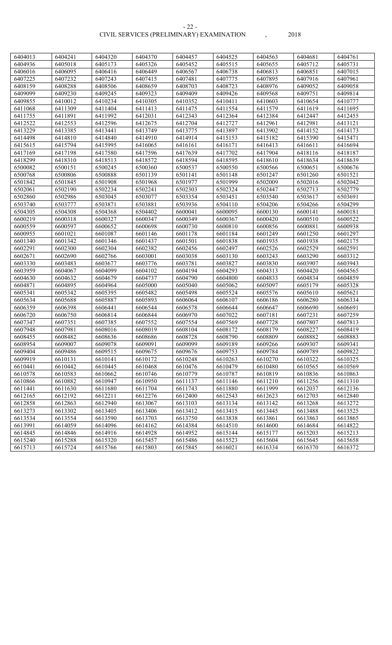| 6404013            | 6404241            | 6404320            | 6404370            | 6404457            | 6404525            | 6404563            | 6404681            | 6404761            |
|--------------------|--------------------|--------------------|--------------------|--------------------|--------------------|--------------------|--------------------|--------------------|
| 6404936            | 6405018            | 6405173            | 6405326            | 6405452            | 6405515            | 6405655            | 6405712            | 6405731            |
| 6406016            | 6406095            | 6406416            | 6406449            | 6406567            | 6406738            | 6406813            | 6406851            | 6407015            |
| 6407225            | 6407232            | 6407243            | 6407415            | 6407481            | 6407775            | 6407895            | 6407916            | 6407961            |
| 6408159            | 6408288            | 6408506            | 6408659            | 6408703            | 6408723            | 6408976            | 6409052            | 6409058            |
| 6409099            | 6409230            | 6409245            | 6409323            | 6409409            | 6409426            | 6409568            | 6409751            | 6409814            |
| 6409855            | 6410012            | 6410234            | 6410305            | 6410352            | 6410411            | 6410603            | 6410654            | 6410777            |
| 6411068            | 6411309            | 6411404            | 6411413            | 6411475            | 6411554            | 6411579            | 6411619            | 6411695            |
| 6411755            | 6411891            | 6411992            | 6412031            | 6412343            | 6412364            | 6412384            | 6412447            | 6412455            |
| 6412522            | 6412553            | 6412596            | 6412675            | 6412704            | 6412727            | 6412961            | 6412981            | 6413121            |
| 6413229            | 6413385            | 6413441            | 6413749            | 6413775            | 6413897            | 6413902            | 6414152            | 6414173            |
| 6414498            | 6414810            | 6414840            | 6414910            | 6414914            | 6415153            | 6415182            | 6415390            | 6415471            |
| 6415615            | 6415794            | 6415995            | 6416065            | 6416161            | 6416171            | 6416413            | 6416611            | 6416694            |
| 6417169            | 6417198            | 6417580            | 6417596            | 6417639            | 6417702            | 6417904            | 6418116            | 6418187            |
| 6418299            | 6418310            | 6418513            | 6418572            | 6418594            | 6418595            | 6418610            | 6418634            | 6418639            |
| 6500082            | 6500151            | 6500245            | 6500360            | 6500537            | 6500550            | 6500566            | 6500651            | 6500676            |
| 6500768            | 6500806            | 6500888            | 6501139            | 6501141            | 6501148            | 6501247            | 6501260            | 6501521            |
| 6501842            | 6501845            | 6501908            | 6501968            | 6501977            | 6501999            | 6502009            | 6502016            | 6502042            |
| 6502061            | 6502190            | 6502234            | 6502241            | 6502303            | 6502324            | 6502447            | 6502713            | 6502779            |
| 6502860            | 6502986            | 6503045            | 6503077            | 6503354            | 6503451            | 6503540            | 6503617            | 6503691            |
| 6503740            | 6503777            | 6503871            | 6503881            | 6503936            | 6504110            | 6504206            | 6504266            | 6504299            |
| 6504305            | 6504308            | 6504368            | 6504402            | 6600041            | 6600095            | 6600130            | 6600141            | 6600181            |
| 6600219            | 6600318            | 6600327            | 6600347            | 6600349            | 6600367            | 6600420            | 6600510            | 6600522            |
| 6600559            | 6600597            | 6600652            | 6600698            | 6600730            | 6600810            | 6600856            | 6600881            | 6600938            |
| 6600955            | 6601021            | 6601087            | 6601146            | 6601178            | 6601184            | 6601249            | 6601250            | 6601297            |
| 6601340            | 6601342            | 6601346            | 6601437            | 6601501            | 6601838            | 6601935            | 6601938            | 6602175            |
| 6602291            | 6602300            | 6602304            | 6602382            | 6602456            | 6602497            | 6602526            | 6602529            | 6602591            |
| 6602671            | 6602690            | 6602766            | 6603001            | 6603038            | 6603130            | 6603243            | 6603290            | 6603312            |
| 6603330            | 6603483            | 6603677            | 6603776            | 6603781            | 6603827            | 6603830            | 6603907            | 6603943            |
| 6603959            | 6604067            | 6604099            | 6604102            | 6604194            | 6604293            | 6604313            | 6604420            | 6604565            |
| 6604630            | 6604632            | 6604679            | 6604737            | 6604790            | 6604800            | 6604833            | 6604834            | 6604859            |
| 6604871            | 6604895            | 6604964            | 6605000            | 6605040            | 6605062            | 6605097            | 6605179            | 6605328            |
| 6605341            | 6605342            | 6605395            | 6605482            | 6605498            | 6605524            | 6605576            | 6605610            | 6605621            |
| 6605634            | 6605688            | 6605887            | 6605893            | 6606064            | 6606107            | 6606186            | 6606280            | 6606334            |
| 6606359            | 6606398            | 6606441            | 6606544            | 6606578            | 6606644            | 6606647            | 6606690            | 6606691            |
| 6606720            | 6606750            | 6606814            | 6606844            | 6606970            | 6607022            | 6607181            | 6607231            | 6607259            |
| 6607347            | 6607351            | 6607385            | 6607552            | 6607554            | 6607569            | 6607728            | 6607807            | 6607813            |
| 6607948            | 6607981            | 6608016            | 6608019            | 6608104            | 6608172            | 6608179            | 6608227            | 6608419            |
| 6608455            | 6608482            | 6608636            | 6608686            | 6608728            | 6608790            | 6608809            | 6608882            | 6608883            |
| 6608954            | 6609007            | 6609078            | 6609091            | 6609099            | 6609189            | 6609266            | 6609307            | 6609341            |
| 6609404            | 6609486            | 6609515            | 6609675            | 6609676            | 6609753            | 6609784            | 6609789            | 6609822            |
| 6609919            | 6610131            | 6610141            | 6610172            | 6610248            | 6610263            | 6610270            | 6610322            | 6610325            |
| 6610441            | 6610442            | 6610445            | 6610468            | 6610476            | 6610479            | 6610480            | 6610565            | 6610569            |
| 6610578            | 6610583            | 6610662            | 6610746            | 6610779            | 6610787            | 6610819            | 6610836            | 6610863            |
| 6610866            | 6610882            | 6610947            | 6610950            | 6611137            | 6611146            | 6611210            | 6611256            | 6611310            |
| 6611441            | 6611630            | 6611680            | 6611704            | 6611743            | 6611880            | 6611999            | 6612037            | 6612136            |
| 6612165            | 6612192            | 6612211            | 6612276            | 6612400            | 6612543            | 6612623            | 6612703            | 6612840            |
| 6612858            | 6612863            | 6612940            | 6613067            | 6613103            | 6613134            | 6613142            | 6613268            | 6613272            |
| 6613273            | 6613302            | 6613405            | 6613406            | 6613412            | 6613415            | 6613445            | 6613488            | 6613525            |
| 6613534            | 6613554            | 6613590            | 6613703            | 6613750            | 6613838            | 6613861            | 6613863            | 6613865            |
| 6613991            | 6614059<br>6614846 | 6614096<br>6614916 | 6614162<br>6614928 | 6614384<br>6614952 | 6614510<br>6615144 | 6614600<br>6615177 | 6614684<br>6615203 | 6614822<br>6615213 |
| 6614845<br>6615240 | 6615288            | 6615320            | 6615457            | 6615486            | 6615523            | 6615604            | 6615645            | 6615658            |
|                    | 6615724            |                    |                    | 6615845            |                    | 6616334            |                    | 6616372            |
| 6615713            |                    | 6615766            | 6615803            |                    | 6616021            |                    | 6616370            |                    |

- 22 -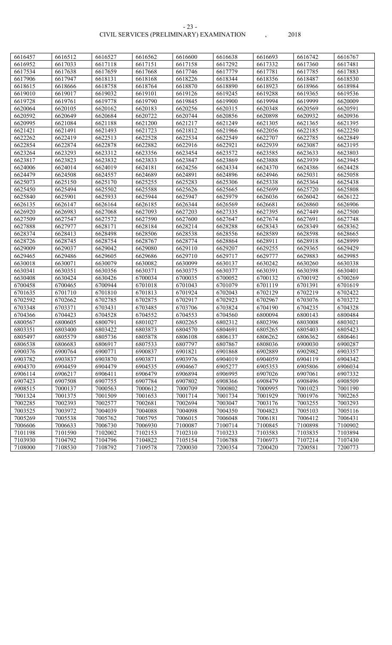CIVIL SERVICES (PRELIMINARY) EXAMINATION , 2018 - 23 -

| 6616457 | 6616512 | 6616527 | 6616562 | 6616600 | 6616638 | 6616693 | 6616742 | 6616767 |
|---------|---------|---------|---------|---------|---------|---------|---------|---------|
| 6616952 | 6617033 | 6617118 | 6617151 | 6617158 | 6617292 | 6617332 | 6617360 | 6617481 |
| 6617534 | 6617638 | 6617659 | 6617668 | 6617746 | 6617779 | 6617781 | 6617785 | 6617883 |
| 6617906 | 6617947 | 6618131 | 6618168 | 6618226 | 6618344 | 6618356 | 6618487 | 6618530 |
| 6618615 | 6618666 | 6618758 | 6618764 | 6618870 | 6618890 | 6618923 | 6618966 | 6618984 |
| 6619010 | 6619017 | 6619032 | 6619101 | 6619126 | 6619245 | 6619288 | 6619365 | 6619536 |
| 6619728 | 6619761 | 6619778 | 6619790 | 6619845 | 6619900 | 6619994 | 6619999 | 6620009 |
| 6620064 | 6620105 | 6620162 | 6620183 | 6620256 | 6620315 | 6620348 | 6620569 | 6620591 |
| 6620592 | 6620649 | 6620684 | 6620722 | 6620744 | 6620856 | 6620898 | 6620932 | 6620936 |
| 6620995 | 6621084 | 6621188 | 6621200 | 6621217 | 6621249 | 6621305 | 6621365 | 6621395 |
| 6621421 | 6621491 | 6621493 | 6621723 | 6621812 | 6621966 | 6622056 | 6622185 | 6622250 |
| 6622262 | 6622419 | 6622513 | 6622528 | 6622534 | 6622549 | 6622707 | 6622785 | 6622849 |
| 6622854 | 6622874 | 6622878 | 6622882 | 6622916 | 6622921 | 6622939 | 6623087 | 6623195 |
| 6623264 | 6623293 | 6623312 | 6623356 | 6623454 | 6623572 | 6623585 | 6623633 | 6623803 |
| 6623817 | 6623823 | 6623832 | 6623833 | 6623847 | 6623869 | 6623888 | 6623939 | 6623945 |
| 6624006 | 6624014 | 6624019 | 6624181 | 6624256 | 6624334 | 6624370 | 6624386 | 6624428 |
| 6624479 | 6624508 | 6624557 | 6624689 | 6624891 | 6624896 | 6624946 | 6625031 | 6625058 |
| 6625073 | 6625150 | 6625170 | 6625255 | 6625283 | 6625306 | 6625338 | 6625364 | 6625438 |
| 6625450 | 6625494 | 6625502 | 6625588 | 6625626 | 6625665 | 6625699 | 6625720 | 6625808 |
| 6625840 | 6625901 | 6625933 | 6625944 | 6625947 | 6625979 | 6626036 | 6626042 | 6626122 |
| 6626135 | 6626147 | 6626164 | 6626185 | 6626344 | 6626569 | 6626681 | 6626860 | 6626906 |
| 6626920 | 6626983 | 6627068 | 6627093 | 6627203 | 6627335 | 6627395 | 6627449 | 6627500 |
| 6627509 | 6627547 | 6627572 | 6627590 | 6627600 | 6627647 | 6627674 | 6627691 | 6627748 |
| 6627888 | 6627977 | 6628171 | 6628184 | 6628214 | 6628288 | 6628343 | 6628349 | 6628362 |
| 6628374 | 6628413 | 6628498 | 6628506 | 6628538 | 6628556 | 6628589 | 6628598 | 6628665 |
| 6628726 | 6628745 | 6628754 | 6628767 | 6628774 | 6628864 | 6628911 | 6628918 | 6628999 |
| 6629009 | 6629037 | 6629042 | 6629080 | 6629110 | 6629207 | 6629255 | 6629365 | 6629429 |
| 6629465 | 6629486 | 6629605 | 6629686 | 6629710 | 6629717 | 6629777 | 6629883 | 6629985 |
| 6630018 | 6630071 | 6630079 | 6630082 | 6630099 | 6630137 | 6630242 | 6630260 | 6630338 |
| 6630341 | 6630351 | 6630356 | 6630371 | 6630375 | 6630377 | 6630391 | 6630398 | 6630401 |
| 6630408 | 6630424 | 6630426 | 6700034 | 6700035 | 6700052 | 6700132 | 6700192 | 6700269 |
| 6700458 | 6700465 | 6700944 | 6701018 | 6701043 | 6701079 | 6701119 | 6701391 | 6701619 |
| 6701635 | 6701710 | 6701810 | 6701813 | 6701924 | 6702043 | 6702129 | 6702219 | 6702422 |
| 6702592 | 6702662 | 6702785 | 6702875 | 6702917 | 6702923 | 6702967 | 6703076 | 6703272 |
| 6703348 | 6703371 | 6703431 | 6703485 | 6703706 | 6703824 | 6704190 | 6704235 | 6704328 |
| 6704366 | 6704423 | 6704528 | 6704552 | 6704553 | 6704560 | 6800094 | 6800143 | 6800484 |
| 6800567 | 6800605 | 6800791 | 6801027 | 6802265 | 6802312 | 6802396 | 6803008 | 6803021 |
| 6803351 | 6803400 | 6803422 | 6803873 | 6804570 | 6804691 | 6805265 | 6805403 | 6805423 |
| 6805497 | 6805579 | 6805736 | 6805878 | 6806108 | 6806137 | 6806262 | 6806362 | 6806461 |
| 6806538 | 6806683 | 6806917 | 6807533 | 6807797 | 6807867 | 6808036 | 6900030 | 6900287 |
| 6900376 | 6900764 | 6900771 | 6900837 | 6901821 | 6901868 | 6902889 | 6902982 | 6903357 |
| 6903782 | 6903837 | 6903870 | 6903871 | 6903976 | 6904019 | 6904059 | 6904119 | 6904342 |
| 6904370 | 6904459 | 6904479 | 6904535 | 6904667 | 6905277 | 6905353 | 6905806 | 6906034 |
| 6906114 | 6906217 | 6906411 | 6906479 | 6906894 | 6906995 | 6907026 | 6907061 | 6907332 |
| 6907423 | 6907508 | 6907755 | 6907784 | 6907802 | 6908366 | 6908479 | 6908496 | 6908509 |
| 6908515 | 7000137 | 7000563 | 7000612 | 7000709 | 7000802 | 7000995 | 7001023 | 7001190 |
| 7001324 | 7001375 | 7001509 | 7001653 | 7001714 | 7001734 | 7001929 | 7001976 | 7002265 |
| 7002285 | 7002393 | 7002577 | 7002681 | 7002694 | 7003047 | 7003176 | 7003255 | 7003293 |
| 7003525 | 7003972 | 7004039 | 7004088 | 7004098 | 7004350 | 7004823 | 7005103 | 7005116 |
| 7005269 | 7005538 | 7005762 | 7005795 | 7006015 | 7006048 | 7006181 | 7006412 | 7006431 |
| 7006606 | 7006633 | 7006730 | 7006930 | 7100087 | 7100714 | 7100845 | 7100898 | 7100902 |
| 7101198 | 7101590 | 7102002 | 7102153 | 7102310 | 7103233 | 7103583 | 7103835 | 7103894 |
| 7103930 | 7104792 | 7104796 | 7104822 | 7105154 | 7106788 | 7106973 | 7107214 | 7107430 |
| 7108000 | 7108530 | 7108792 | 7109578 | 7200030 | 7200354 | 7200420 | 7200581 | 7200773 |
|         |         |         |         |         |         |         |         |         |